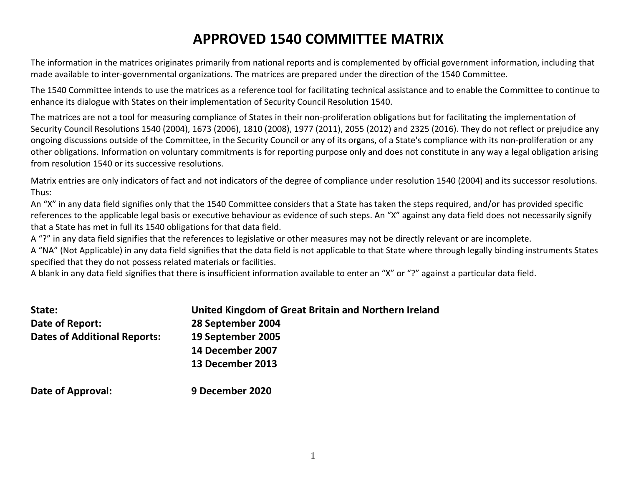## **APPROVED 1540 COMMITTEE MATRIX**

The information in the matrices originates primarily from national reports and is complemented by official government information, including that made available to inter-governmental organizations. The matrices are prepared under the direction of the 1540 Committee.

The 1540 Committee intends to use the matrices as a reference tool for facilitating technical assistance and to enable the Committee to continue to enhance its dialogue with States on their implementation of Security Council Resolution 1540.

The matrices are not a tool for measuring compliance of States in their non-proliferation obligations but for facilitating the implementation of Security Council Resolutions 1540 (2004), 1673 (2006), 1810 (2008), 1977 (2011), 2055 (2012) and 2325 (2016). They do not reflect or prejudice any ongoing discussions outside of the Committee, in the Security Council or any of its organs, of a State's compliance with its non-proliferation or any other obligations. Information on voluntary commitments is for reporting purpose only and does not constitute in any way a legal obligation arising from resolution 1540 or its successive resolutions.

Matrix entries are only indicators of fact and not indicators of the degree of compliance under resolution 1540 (2004) and its successor resolutions. Thus:

An "X" in any data field signifies only that the 1540 Committee considers that a State has taken the steps required, and/or has provided specific references to the applicable legal basis or executive behaviour as evidence of such steps. An "X" against any data field does not necessarily signify that a State has met in full its 1540 obligations for that data field.

A "?" in any data field signifies that the references to legislative or other measures may not be directly relevant or are incomplete.

A "NA" (Not Applicable) in any data field signifies that the data field is not applicable to that State where through legally binding instruments States specified that they do not possess related materials or facilities.

A blank in any data field signifies that there is insufficient information available to enter an "X" or "?" against a particular data field.

| State:                              | United Kingdom of Great Britain and Northern Ireland |
|-------------------------------------|------------------------------------------------------|
| Date of Report:                     | 28 September 2004                                    |
| <b>Dates of Additional Reports:</b> | 19 September 2005                                    |
|                                     | 14 December 2007                                     |
|                                     | 13 December 2013                                     |
| Date of Approval:                   | 9 December 2020                                      |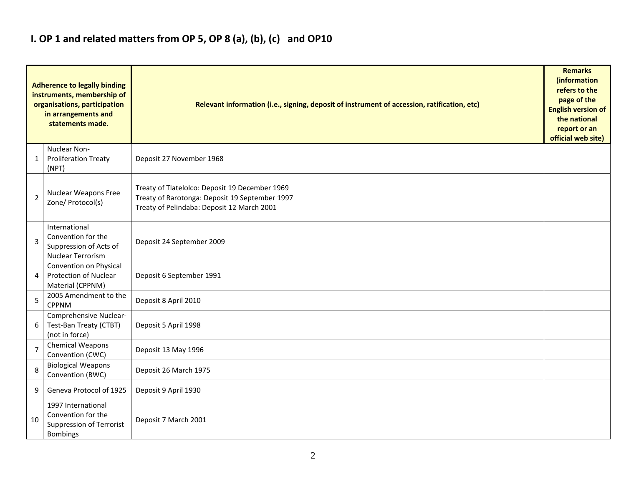### **I. OP 1 and related matters from OP 5, OP 8 (a), (b), (c) and OP10**

|                | <b>Adherence to legally binding</b><br>instruments, membership of<br>organisations, participation<br>in arrangements and<br>statements made. | Relevant information (i.e., signing, deposit of instrument of accession, ratification, etc)                                                    |  |  |  |  |  |  |  |  |
|----------------|----------------------------------------------------------------------------------------------------------------------------------------------|------------------------------------------------------------------------------------------------------------------------------------------------|--|--|--|--|--|--|--|--|
| 1              | Nuclear Non-<br><b>Proliferation Treaty</b><br>(NPT)                                                                                         | Deposit 27 November 1968                                                                                                                       |  |  |  |  |  |  |  |  |
| $\overline{2}$ | <b>Nuclear Weapons Free</b><br>Zone/ Protocol(s)                                                                                             | Treaty of Tlatelolco: Deposit 19 December 1969<br>Treaty of Rarotonga: Deposit 19 September 1997<br>Treaty of Pelindaba: Deposit 12 March 2001 |  |  |  |  |  |  |  |  |
| 3              | International<br>Convention for the<br>Suppression of Acts of<br>Nuclear Terrorism                                                           | Deposit 24 September 2009                                                                                                                      |  |  |  |  |  |  |  |  |
| 4              | Convention on Physical<br>Protection of Nuclear<br>Material (CPPNM)                                                                          | Deposit 6 September 1991                                                                                                                       |  |  |  |  |  |  |  |  |
| 5              | 2005 Amendment to the<br><b>CPPNM</b>                                                                                                        | Deposit 8 April 2010                                                                                                                           |  |  |  |  |  |  |  |  |
| 6              | Comprehensive Nuclear-<br>Test-Ban Treaty (CTBT)<br>(not in force)                                                                           | Deposit 5 April 1998                                                                                                                           |  |  |  |  |  |  |  |  |
| $\overline{7}$ | Chemical Weapons<br>Convention (CWC)                                                                                                         | Deposit 13 May 1996                                                                                                                            |  |  |  |  |  |  |  |  |
| 8              | <b>Biological Weapons</b><br>Convention (BWC)                                                                                                | Deposit 26 March 1975                                                                                                                          |  |  |  |  |  |  |  |  |
| 9              | Geneva Protocol of 1925                                                                                                                      | Deposit 9 April 1930                                                                                                                           |  |  |  |  |  |  |  |  |
| 10             | 1997 International<br>Convention for the<br><b>Suppression of Terrorist</b><br><b>Bombings</b>                                               | Deposit 7 March 2001                                                                                                                           |  |  |  |  |  |  |  |  |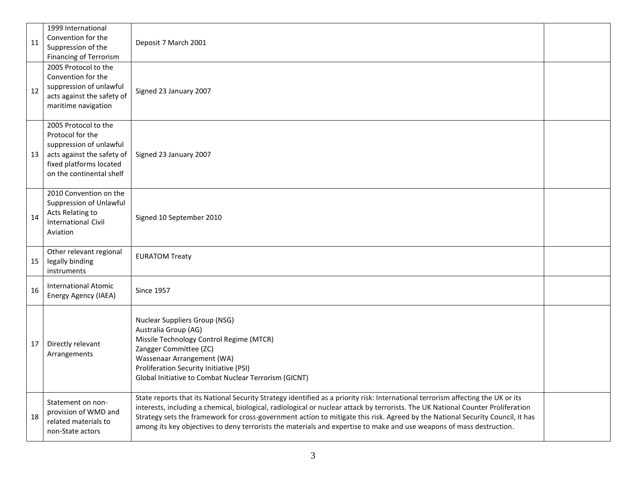| 11 | 1999 International<br>Convention for the<br>Suppression of the<br>Financing of Terrorism                                                                 | Deposit 7 March 2001                                                                                                                                                                                                                                                                                                                                                                                                                                                                                                           |  |
|----|----------------------------------------------------------------------------------------------------------------------------------------------------------|--------------------------------------------------------------------------------------------------------------------------------------------------------------------------------------------------------------------------------------------------------------------------------------------------------------------------------------------------------------------------------------------------------------------------------------------------------------------------------------------------------------------------------|--|
| 12 | 2005 Protocol to the<br>Convention for the<br>suppression of unlawful<br>acts against the safety of<br>maritime navigation                               | Signed 23 January 2007                                                                                                                                                                                                                                                                                                                                                                                                                                                                                                         |  |
| 13 | 2005 Protocol to the<br>Protocol for the<br>suppression of unlawful<br>acts against the safety of<br>fixed platforms located<br>on the continental shelf | Signed 23 January 2007                                                                                                                                                                                                                                                                                                                                                                                                                                                                                                         |  |
| 14 | 2010 Convention on the<br>Suppression of Unlawful<br>Acts Relating to<br><b>International Civil</b><br>Aviation                                          | Signed 10 September 2010                                                                                                                                                                                                                                                                                                                                                                                                                                                                                                       |  |
| 15 | Other relevant regional<br>legally binding<br>instruments                                                                                                | <b>EURATOM Treaty</b>                                                                                                                                                                                                                                                                                                                                                                                                                                                                                                          |  |
| 16 | <b>International Atomic</b><br>Energy Agency (IAEA)                                                                                                      | <b>Since 1957</b>                                                                                                                                                                                                                                                                                                                                                                                                                                                                                                              |  |
| 17 | Directly relevant<br>Arrangements                                                                                                                        | <b>Nuclear Suppliers Group (NSG)</b><br>Australia Group (AG)<br>Missile Technology Control Regime (MTCR)<br>Zangger Committee (ZC)<br>Wassenaar Arrangement (WA)<br>Proliferation Security Initiative (PSI)<br>Global Initiative to Combat Nuclear Terrorism (GICNT)                                                                                                                                                                                                                                                           |  |
| 18 | Statement on non-<br>provision of WMD and<br>related materials to<br>non-State actors                                                                    | State reports that its National Security Strategy identified as a priority risk: International terrorism affecting the UK or its<br>interests, including a chemical, biological, radiological or nuclear attack by terrorists. The UK National Counter Proliferation<br>Strategy sets the framework for cross-government action to mitigate this risk. Agreed by the National Security Council, it has<br>among its key objectives to deny terrorists the materials and expertise to make and use weapons of mass destruction. |  |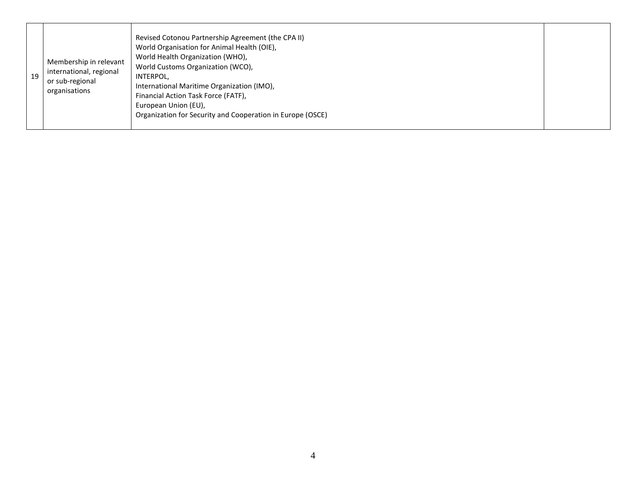| 19 | Membership in relevant<br>international, regional<br>or sub-regional<br>organisations | Revised Cotonou Partnership Agreement (the CPA II)<br>World Organisation for Animal Health (OIE),<br>World Health Organization (WHO),<br>World Customs Organization (WCO),<br>INTERPOL,<br>International Maritime Organization (IMO),<br>Financial Action Task Force (FATF),<br>European Union (EU),<br>Organization for Security and Cooperation in Europe (OSCE) |  |
|----|---------------------------------------------------------------------------------------|--------------------------------------------------------------------------------------------------------------------------------------------------------------------------------------------------------------------------------------------------------------------------------------------------------------------------------------------------------------------|--|
|----|---------------------------------------------------------------------------------------|--------------------------------------------------------------------------------------------------------------------------------------------------------------------------------------------------------------------------------------------------------------------------------------------------------------------------------------------------------------------|--|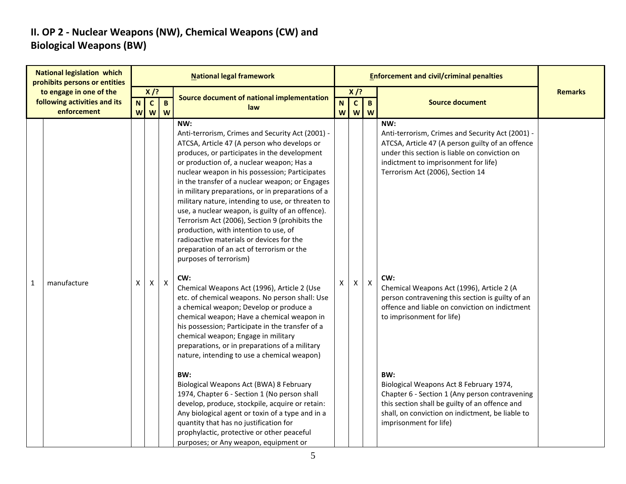### **II. OP 2 - Nuclear Weapons (NW), Chemical Weapons (CW) and Biological Weapons (BW)**

| <b>National legislation which</b><br>prohibits persons or entities |                                                                        |   |   |                             | <b>National legal framework</b>                                                                                                                                                                                                                                                                                                                                                                                                                                                                                                                                                                                                                                                                                                                                                                                                                                                                                                                                                                                                                                                          |        |                        |                           | <b>Enforcement and civil/criminal penalties</b>                                                                                                                                                                                                                                                                                                                                                                                        |                |
|--------------------------------------------------------------------|------------------------------------------------------------------------|---|---|-----------------------------|------------------------------------------------------------------------------------------------------------------------------------------------------------------------------------------------------------------------------------------------------------------------------------------------------------------------------------------------------------------------------------------------------------------------------------------------------------------------------------------------------------------------------------------------------------------------------------------------------------------------------------------------------------------------------------------------------------------------------------------------------------------------------------------------------------------------------------------------------------------------------------------------------------------------------------------------------------------------------------------------------------------------------------------------------------------------------------------|--------|------------------------|---------------------------|----------------------------------------------------------------------------------------------------------------------------------------------------------------------------------------------------------------------------------------------------------------------------------------------------------------------------------------------------------------------------------------------------------------------------------------|----------------|
|                                                                    | to engage in one of the<br>following activities and its<br>enforcement |   |   | $X$ /?<br>$\mathbf{B}$<br>W | Source document of national implementation<br>law                                                                                                                                                                                                                                                                                                                                                                                                                                                                                                                                                                                                                                                                                                                                                                                                                                                                                                                                                                                                                                        | N<br>W | $X$ /?<br>$\mathbf{C}$ | $\mathbf{B}$<br>$W$ $W$   | <b>Source document</b>                                                                                                                                                                                                                                                                                                                                                                                                                 | <b>Remarks</b> |
| $\mathbf{1}$                                                       | manufacture                                                            | X | X | $\pmb{\mathsf{X}}$          | NW:<br>Anti-terrorism, Crimes and Security Act (2001) -<br>ATCSA, Article 47 (A person who develops or<br>produces, or participates in the development<br>or production of, a nuclear weapon; Has a<br>nuclear weapon in his possession; Participates<br>in the transfer of a nuclear weapon; or Engages<br>in military preparations, or in preparations of a<br>military nature, intending to use, or threaten to<br>use, a nuclear weapon, is guilty of an offence).<br>Terrorism Act (2006), Section 9 (prohibits the<br>production, with intention to use, of<br>radioactive materials or devices for the<br>preparation of an act of terrorism or the<br>purposes of terrorism)<br>CW:<br>Chemical Weapons Act (1996), Article 2 (Use<br>etc. of chemical weapons. No person shall: Use<br>a chemical weapon; Develop or produce a<br>chemical weapon; Have a chemical weapon in<br>his possession; Participate in the transfer of a<br>chemical weapon; Engage in military<br>preparations, or in preparations of a military<br>nature, intending to use a chemical weapon)<br>BW: | Χ      | X                      | $\boldsymbol{\mathsf{X}}$ | NW:<br>Anti-terrorism, Crimes and Security Act (2001) -<br>ATCSA, Article 47 (A person guilty of an offence<br>under this section is liable on conviction on<br>indictment to imprisonment for life)<br>Terrorism Act (2006), Section 14<br>CW:<br>Chemical Weapons Act (1996), Article 2 (A<br>person contravening this section is guilty of an<br>offence and liable on conviction on indictment<br>to imprisonment for life)<br>BW: |                |
|                                                                    |                                                                        |   |   |                             | Biological Weapons Act (BWA) 8 February<br>1974, Chapter 6 - Section 1 (No person shall<br>develop, produce, stockpile, acquire or retain:<br>Any biological agent or toxin of a type and in a<br>quantity that has no justification for<br>prophylactic, protective or other peaceful<br>purposes; or Any weapon, equipment or                                                                                                                                                                                                                                                                                                                                                                                                                                                                                                                                                                                                                                                                                                                                                          |        |                        |                           | Biological Weapons Act 8 February 1974,<br>Chapter 6 - Section 1 (Any person contravening<br>this section shall be guilty of an offence and<br>shall, on conviction on indictment, be liable to<br>imprisonment for life)                                                                                                                                                                                                              |                |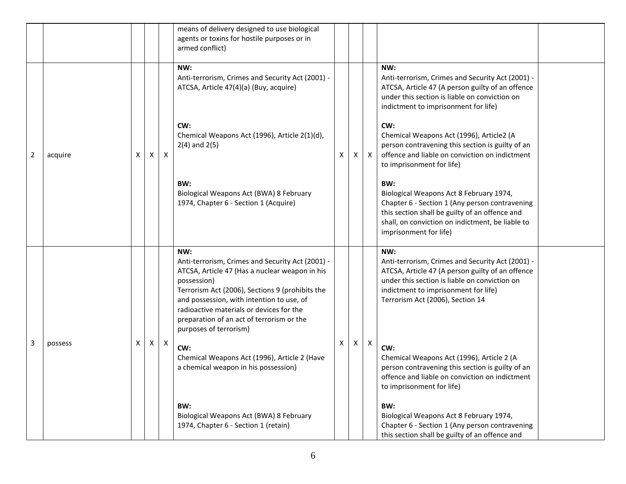|   |         |   |              |   | means of delivery designed to use biological<br>agents or toxins for hostile purposes or in<br>armed conflict)                                                                                                                                                                                                                              |   |   |              |                                                                                                                                                                                                                                          |
|---|---------|---|--------------|---|---------------------------------------------------------------------------------------------------------------------------------------------------------------------------------------------------------------------------------------------------------------------------------------------------------------------------------------------|---|---|--------------|------------------------------------------------------------------------------------------------------------------------------------------------------------------------------------------------------------------------------------------|
|   |         |   |              |   | NW:<br>Anti-terrorism, Crimes and Security Act (2001) -<br>ATCSA, Article 47(4)(a) (Buy, acquire)                                                                                                                                                                                                                                           |   |   |              | NW:<br>Anti-terrorism, Crimes and Security Act (2001) -<br>ATCSA, Article 47 (A person guilty of an offence<br>under this section is liable on conviction on<br>indictment to imprisonment for life)                                     |
| 2 | acquire | X | $\mathsf{x}$ | X | CW:<br>Chemical Weapons Act (1996), Article 2(1)(d),<br>$2(4)$ and $2(5)$                                                                                                                                                                                                                                                                   | X | X | $\mathsf{X}$ | CW:<br>Chemical Weapons Act (1996), Article2 (A<br>person contravening this section is guilty of an<br>offence and liable on conviction on indictment<br>to imprisonment for life)                                                       |
|   |         |   |              |   | BW:<br>Biological Weapons Act (BWA) 8 February<br>1974, Chapter 6 - Section 1 (Acquire)                                                                                                                                                                                                                                                     |   |   |              | BW:<br>Biological Weapons Act 8 February 1974,<br>Chapter 6 - Section 1 (Any person contravening<br>this section shall be guilty of an offence and<br>shall, on conviction on indictment, be liable to<br>imprisonment for life)         |
|   |         |   |              |   | NW:<br>Anti-terrorism, Crimes and Security Act (2001) -<br>ATCSA, Article 47 (Has a nuclear weapon in his<br>possession)<br>Terrorism Act (2006), Sections 9 (prohibits the<br>and possession, with intention to use, of<br>radioactive materials or devices for the<br>preparation of an act of terrorism or the<br>purposes of terrorism) |   |   |              | NW:<br>Anti-terrorism, Crimes and Security Act (2001) -<br>ATCSA, Article 47 (A person guilty of an offence<br>under this section is liable on conviction on<br>indictment to imprisonment for life)<br>Terrorism Act (2006), Section 14 |
| 3 | possess | X | $\mathsf{X}$ | X | CW:<br>Chemical Weapons Act (1996), Article 2 (Have<br>a chemical weapon in his possession)                                                                                                                                                                                                                                                 | X | X | X            | CW:<br>Chemical Weapons Act (1996), Article 2 (A<br>person contravening this section is guilty of an<br>offence and liable on conviction on indictment<br>to imprisonment for life)                                                      |
|   |         |   |              |   | BW:<br>Biological Weapons Act (BWA) 8 February<br>1974, Chapter 6 - Section 1 (retain)                                                                                                                                                                                                                                                      |   |   |              | BW:<br>Biological Weapons Act 8 February 1974,<br>Chapter 6 - Section 1 (Any person contravening<br>this section shall be guilty of an offence and                                                                                       |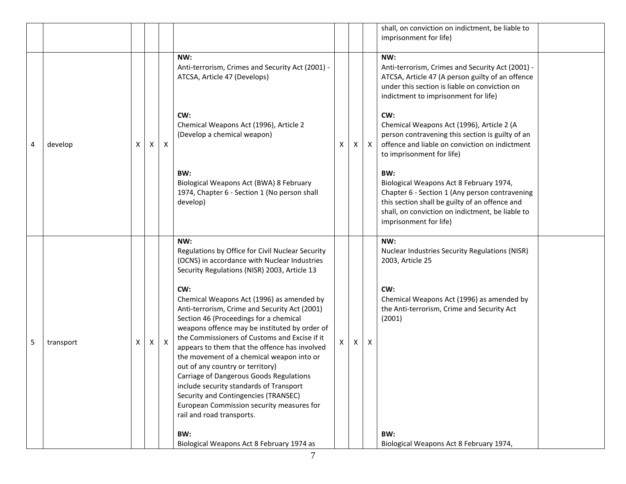|   |           |   |   |              |                                                                                                                                                                                                                                                                                                                                                                                                                                                       |    |   |              | shall, on conviction on indictment, be liable to<br>imprisonment for life)                                                                                                                                                       |
|---|-----------|---|---|--------------|-------------------------------------------------------------------------------------------------------------------------------------------------------------------------------------------------------------------------------------------------------------------------------------------------------------------------------------------------------------------------------------------------------------------------------------------------------|----|---|--------------|----------------------------------------------------------------------------------------------------------------------------------------------------------------------------------------------------------------------------------|
|   |           |   |   |              | NW:<br>Anti-terrorism, Crimes and Security Act (2001) -<br>ATCSA, Article 47 (Develops)                                                                                                                                                                                                                                                                                                                                                               |    |   |              | NW:<br>Anti-terrorism, Crimes and Security Act (2001) -<br>ATCSA, Article 47 (A person guilty of an offence<br>under this section is liable on conviction on<br>indictment to imprisonment for life)                             |
| 4 | develop   | X | X | X            | CW:<br>Chemical Weapons Act (1996), Article 2<br>(Develop a chemical weapon)                                                                                                                                                                                                                                                                                                                                                                          | X  | X | $\mathsf{X}$ | CW:<br>Chemical Weapons Act (1996), Article 2 (A<br>person contravening this section is guilty of an<br>offence and liable on conviction on indictment<br>to imprisonment for life)                                              |
|   |           |   |   |              | BW:<br>Biological Weapons Act (BWA) 8 February<br>1974, Chapter 6 - Section 1 (No person shall<br>develop)                                                                                                                                                                                                                                                                                                                                            |    |   |              | BW:<br>Biological Weapons Act 8 February 1974,<br>Chapter 6 - Section 1 (Any person contravening<br>this section shall be guilty of an offence and<br>shall, on conviction on indictment, be liable to<br>imprisonment for life) |
|   |           |   |   |              | NW:<br>Regulations by Office for Civil Nuclear Security<br>(OCNS) in accordance with Nuclear Industries<br>Security Regulations (NISR) 2003, Article 13<br>CW:<br>Chemical Weapons Act (1996) as amended by<br>Anti-terrorism, Crime and Security Act (2001)                                                                                                                                                                                          |    |   |              | NW:<br><b>Nuclear Industries Security Regulations (NISR)</b><br>2003, Article 25<br>CW:<br>Chemical Weapons Act (1996) as amended by<br>the Anti-terrorism, Crime and Security Act                                               |
| 5 | transport | x | X | $\mathsf{X}$ | Section 46 (Proceedings for a chemical<br>weapons offence may be instituted by order of<br>the Commissioners of Customs and Excise if it<br>appears to them that the offence has involved<br>the movement of a chemical weapon into or<br>out of any country or territory)<br>Carriage of Dangerous Goods Regulations<br>include security standards of Transport<br>Security and Contingencies (TRANSEC)<br>European Commission security measures for | X. | X | X            | (2001)                                                                                                                                                                                                                           |
|   |           |   |   |              | rail and road transports.<br>BW:<br>Biological Weapons Act 8 February 1974 as                                                                                                                                                                                                                                                                                                                                                                         |    |   |              | BW:<br>Biological Weapons Act 8 February 1974,                                                                                                                                                                                   |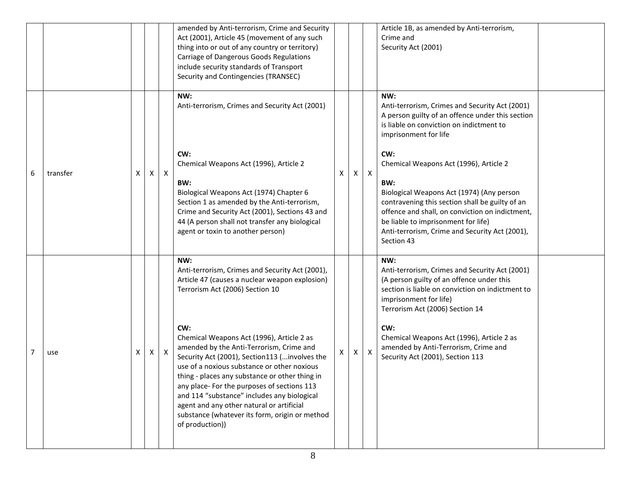|   |          |   |   |              | amended by Anti-terrorism, Crime and Security<br>Act (2001), Article 45 (movement of any such<br>thing into or out of any country or territory)<br>Carriage of Dangerous Goods Regulations<br>include security standards of Transport<br>Security and Contingencies (TRANSEC)                                                                                                                                                                                                                                                                                                                                  |   |   |              | Article 1B, as amended by Anti-terrorism,<br>Crime and<br>Security Act (2001)                                                                                                                                                                                                                                                                                                                                                                                                                    |
|---|----------|---|---|--------------|----------------------------------------------------------------------------------------------------------------------------------------------------------------------------------------------------------------------------------------------------------------------------------------------------------------------------------------------------------------------------------------------------------------------------------------------------------------------------------------------------------------------------------------------------------------------------------------------------------------|---|---|--------------|--------------------------------------------------------------------------------------------------------------------------------------------------------------------------------------------------------------------------------------------------------------------------------------------------------------------------------------------------------------------------------------------------------------------------------------------------------------------------------------------------|
| 6 | transfer | X | X | $\mathsf{X}$ | NW:<br>Anti-terrorism, Crimes and Security Act (2001)<br>CW:<br>Chemical Weapons Act (1996), Article 2<br>BW:<br>Biological Weapons Act (1974) Chapter 6<br>Section 1 as amended by the Anti-terrorism,<br>Crime and Security Act (2001), Sections 43 and<br>44 (A person shall not transfer any biological<br>agent or toxin to another person)                                                                                                                                                                                                                                                               | X | X | $\mathsf{X}$ | NW:<br>Anti-terrorism, Crimes and Security Act (2001)<br>A person guilty of an offence under this section<br>is liable on conviction on indictment to<br>imprisonment for life<br>CW:<br>Chemical Weapons Act (1996), Article 2<br>BW:<br>Biological Weapons Act (1974) (Any person<br>contravening this section shall be guilty of an<br>offence and shall, on conviction on indictment,<br>be liable to imprisonment for life)<br>Anti-terrorism, Crime and Security Act (2001),<br>Section 43 |
| 7 | use      | X | X | X            | NW:<br>Anti-terrorism, Crimes and Security Act (2001),<br>Article 47 (causes a nuclear weapon explosion)<br>Terrorism Act (2006) Section 10<br>CW:<br>Chemical Weapons Act (1996), Article 2 as<br>amended by the Anti-Terrorism, Crime and<br>Security Act (2001), Section113 ( involves the<br>use of a noxious substance or other noxious<br>thing - places any substance or other thing in<br>any place- For the purposes of sections 113<br>and 114 "substance" includes any biological<br>agent and any other natural or artificial<br>substance (whatever its form, origin or method<br>of production)) | x | X | $\mathsf{X}$ | NW:<br>Anti-terrorism, Crimes and Security Act (2001)<br>(A person guilty of an offence under this<br>section is liable on conviction on indictment to<br>imprisonment for life)<br>Terrorism Act (2006) Section 14<br>CW:<br>Chemical Weapons Act (1996), Article 2 as<br>amended by Anti-Terrorism, Crime and<br>Security Act (2001), Section 113                                                                                                                                              |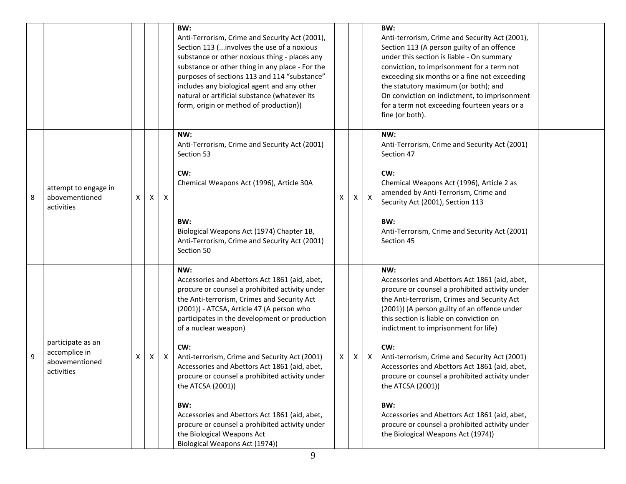|   |                                                                    |   |              |                           | BW:<br>Anti-Terrorism, Crime and Security Act (2001),<br>Section 113 ( involves the use of a noxious<br>substance or other noxious thing - places any<br>substance or other thing in any place - For the<br>purposes of sections 113 and 114 "substance"<br>includes any biological agent and any other<br>natural or artificial substance (whatever its<br>form, origin or method of production))                                                                                                                                                                                                                                    |   |   |              | BW:<br>Anti-terrorism, Crime and Security Act (2001),<br>Section 113 (A person guilty of an offence<br>under this section is liable - On summary<br>conviction, to imprisonment for a term not<br>exceeding six months or a fine not exceeding<br>the statutory maximum (or both); and<br>On conviction on indictment, to imprisonment<br>for a term not exceeding fourteen years or a<br>fine (or both).                                                                                                                                                                                                                |  |
|---|--------------------------------------------------------------------|---|--------------|---------------------------|---------------------------------------------------------------------------------------------------------------------------------------------------------------------------------------------------------------------------------------------------------------------------------------------------------------------------------------------------------------------------------------------------------------------------------------------------------------------------------------------------------------------------------------------------------------------------------------------------------------------------------------|---|---|--------------|--------------------------------------------------------------------------------------------------------------------------------------------------------------------------------------------------------------------------------------------------------------------------------------------------------------------------------------------------------------------------------------------------------------------------------------------------------------------------------------------------------------------------------------------------------------------------------------------------------------------------|--|
| 8 | attempt to engage in<br>abovementioned<br>activities               | х | $\mathsf{X}$ | $\mathsf{X}$              | NW:<br>Anti-Terrorism, Crime and Security Act (2001)<br>Section 53<br>CW:<br>Chemical Weapons Act (1996), Article 30A<br>BW:<br>Biological Weapons Act (1974) Chapter 1B,<br>Anti-Terrorism, Crime and Security Act (2001)<br>Section 50                                                                                                                                                                                                                                                                                                                                                                                              | х | X | $\mathsf{X}$ | NW:<br>Anti-Terrorism, Crime and Security Act (2001)<br>Section 47<br>CW:<br>Chemical Weapons Act (1996), Article 2 as<br>amended by Anti-Terrorism, Crime and<br>Security Act (2001), Section 113<br>BW:<br>Anti-Terrorism, Crime and Security Act (2001)<br>Section 45                                                                                                                                                                                                                                                                                                                                                 |  |
| 9 | participate as an<br>accomplice in<br>abovementioned<br>activities | х | X            | $\boldsymbol{\mathsf{X}}$ | NW:<br>Accessories and Abettors Act 1861 (aid, abet,<br>procure or counsel a prohibited activity under<br>the Anti-terrorism, Crimes and Security Act<br>(2001)) - ATCSA, Article 47 (A person who<br>participates in the development or production<br>of a nuclear weapon)<br>CW:<br>Anti-terrorism, Crime and Security Act (2001)<br>Accessories and Abettors Act 1861 (aid, abet,<br>procure or counsel a prohibited activity under<br>the ATCSA (2001))<br>BW:<br>Accessories and Abettors Act 1861 (aid, abet,<br>procure or counsel a prohibited activity under<br>the Biological Weapons Act<br>Biological Weapons Act (1974)) | Χ | X | X            | NW:<br>Accessories and Abettors Act 1861 (aid, abet,<br>procure or counsel a prohibited activity under<br>the Anti-terrorism, Crimes and Security Act<br>(2001)) (A person guilty of an offence under<br>this section is liable on conviction on<br>indictment to imprisonment for life)<br>CW:<br>Anti-terrorism, Crime and Security Act (2001)<br>Accessories and Abettors Act 1861 (aid, abet,<br>procure or counsel a prohibited activity under<br>the ATCSA (2001))<br>BW:<br>Accessories and Abettors Act 1861 (aid, abet,<br>procure or counsel a prohibited activity under<br>the Biological Weapons Act (1974)) |  |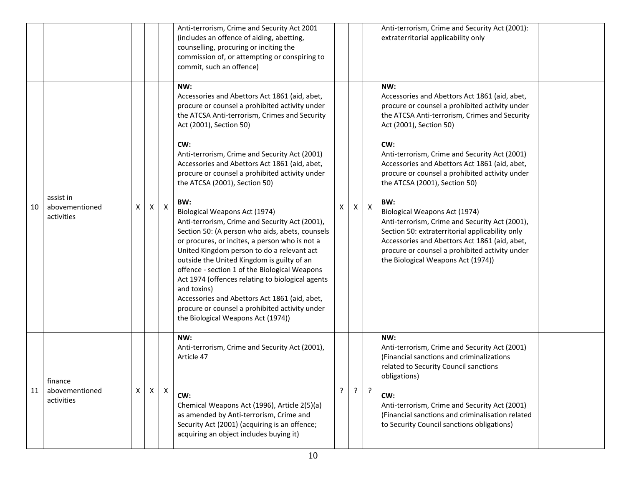|    |                                           |   |   |              | Anti-terrorism, Crime and Security Act 2001<br>(includes an offence of aiding, abetting,<br>counselling, procuring or inciting the<br>commission of, or attempting or conspiring to<br>commit, such an offence)                                                                                                                                                                                                                                                                                                                                                                                                                                                                                                                                                                                                                                                                                                                        |   |   |                | Anti-terrorism, Crime and Security Act (2001):<br>extraterritorial applicability only                                                                                                                                                                                                                                                                                                                                                                                                                                                                                                                                                                                |  |
|----|-------------------------------------------|---|---|--------------|----------------------------------------------------------------------------------------------------------------------------------------------------------------------------------------------------------------------------------------------------------------------------------------------------------------------------------------------------------------------------------------------------------------------------------------------------------------------------------------------------------------------------------------------------------------------------------------------------------------------------------------------------------------------------------------------------------------------------------------------------------------------------------------------------------------------------------------------------------------------------------------------------------------------------------------|---|---|----------------|----------------------------------------------------------------------------------------------------------------------------------------------------------------------------------------------------------------------------------------------------------------------------------------------------------------------------------------------------------------------------------------------------------------------------------------------------------------------------------------------------------------------------------------------------------------------------------------------------------------------------------------------------------------------|--|
| 10 | assist in<br>abovementioned<br>activities | X | Χ | $\mathsf{X}$ | NW:<br>Accessories and Abettors Act 1861 (aid, abet,<br>procure or counsel a prohibited activity under<br>the ATCSA Anti-terrorism, Crimes and Security<br>Act (2001), Section 50)<br>CW:<br>Anti-terrorism, Crime and Security Act (2001)<br>Accessories and Abettors Act 1861 (aid, abet,<br>procure or counsel a prohibited activity under<br>the ATCSA (2001), Section 50)<br>BW:<br>Biological Weapons Act (1974)<br>Anti-terrorism, Crime and Security Act (2001),<br>Section 50: (A person who aids, abets, counsels<br>or procures, or incites, a person who is not a<br>United Kingdom person to do a relevant act<br>outside the United Kingdom is guilty of an<br>offence - section 1 of the Biological Weapons<br>Act 1974 (offences relating to biological agents<br>and toxins)<br>Accessories and Abettors Act 1861 (aid, abet,<br>procure or counsel a prohibited activity under<br>the Biological Weapons Act (1974)) | х | X | $\pmb{\times}$ | NW:<br>Accessories and Abettors Act 1861 (aid, abet,<br>procure or counsel a prohibited activity under<br>the ATCSA Anti-terrorism, Crimes and Security<br>Act (2001), Section 50)<br>CW:<br>Anti-terrorism, Crime and Security Act (2001)<br>Accessories and Abettors Act 1861 (aid, abet,<br>procure or counsel a prohibited activity under<br>the ATCSA (2001), Section 50)<br>BW:<br>Biological Weapons Act (1974)<br>Anti-terrorism, Crime and Security Act (2001),<br>Section 50: extraterritorial applicability only<br>Accessories and Abettors Act 1861 (aid, abet,<br>procure or counsel a prohibited activity under<br>the Biological Weapons Act (1974)) |  |
| 11 | finance<br>abovementioned<br>activities   | X | X | X            | NW:<br>Anti-terrorism, Crime and Security Act (2001),<br>Article 47<br>CW:<br>Chemical Weapons Act (1996), Article 2(5)(a)<br>as amended by Anti-terrorism, Crime and<br>Security Act (2001) (acquiring is an offence;<br>acquiring an object includes buying it)                                                                                                                                                                                                                                                                                                                                                                                                                                                                                                                                                                                                                                                                      | ? | ? | $\cdot$        | NW:<br>Anti-terrorism, Crime and Security Act (2001)<br>(Financial sanctions and criminalizations<br>related to Security Council sanctions<br>obligations)<br>CW:<br>Anti-terrorism, Crime and Security Act (2001)<br>(Financial sanctions and criminalisation related<br>to Security Council sanctions obligations)                                                                                                                                                                                                                                                                                                                                                 |  |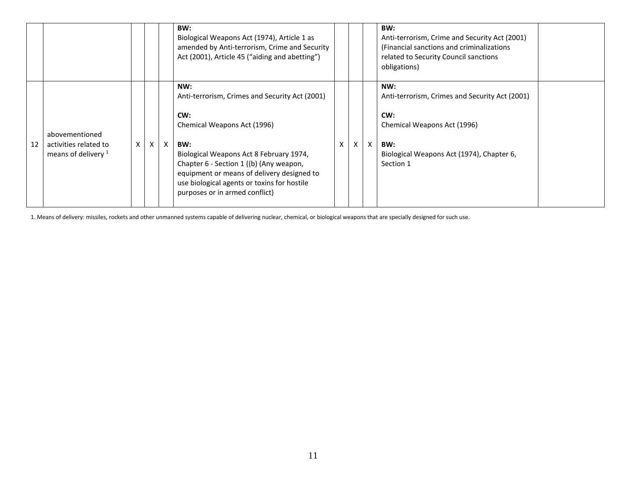|    |                                                                  |   |              |   | BW:<br>Biological Weapons Act (1974), Article 1 as<br>amended by Anti-terrorism, Crime and Security<br>Act (2001), Article 45 ("aiding and abetting")                                                                                                                                                                   |   |   |                           | BW:<br>Anti-terrorism, Crime and Security Act (2001)<br>(Financial sanctions and criminalizations<br>related to Security Council sanctions<br>obligations)   |  |
|----|------------------------------------------------------------------|---|--------------|---|-------------------------------------------------------------------------------------------------------------------------------------------------------------------------------------------------------------------------------------------------------------------------------------------------------------------------|---|---|---------------------------|--------------------------------------------------------------------------------------------------------------------------------------------------------------|--|
| 12 | abovementioned<br>activities related to<br>means of delivery $1$ | X | $\mathsf{X}$ | X | NW:<br>Anti-terrorism, Crimes and Security Act (2001)<br>CW:<br>Chemical Weapons Act (1996)<br>BW:<br>Biological Weapons Act 8 February 1974,<br>Chapter 6 - Section 1 ((b) (Any weapon,<br>equipment or means of delivery designed to<br>use biological agents or toxins for hostile<br>purposes or in armed conflict) | X | X | $\boldsymbol{\mathsf{x}}$ | NW:<br>Anti-terrorism, Crimes and Security Act (2001)<br>CW:<br>Chemical Weapons Act (1996)<br>BW:<br>Biological Weapons Act (1974), Chapter 6,<br>Section 1 |  |

1. Means of delivery: missiles, rockets and other unmanned systems capable of delivering nuclear, chemical, or biological weapons that are specially designed for such use.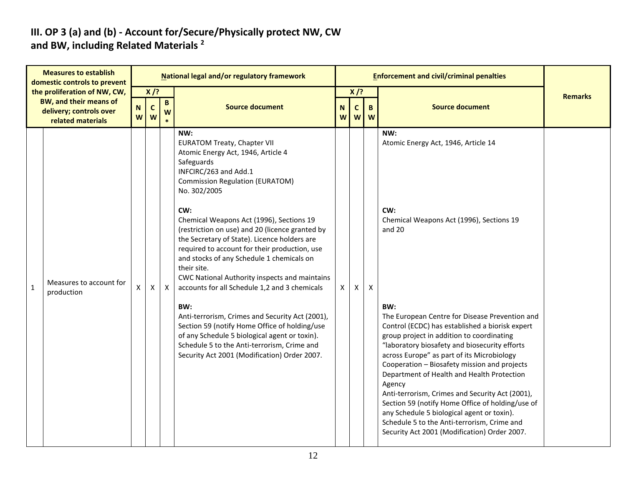#### **III. OP 3 (a) and (b) - Account for/Secure/Physically protect NW, CW and BW, including Related Materials <sup>2</sup>**

| <b>Measures to establish</b><br>domestic controls to prevent |                                                                                                               |                  |                            |                      | National legal and/or regulatory framework                                                                                                                                                                                                                                                                                                                                                                                                                                                                                                                                                                                                                                                                                                                                                                       |        |                             |        | <b>Enforcement and civil/criminal penalties</b>                                                                                                                                                                                                                                                                                                                                                                                                                                                                                                                                                                                                                                                                             |                |
|--------------------------------------------------------------|---------------------------------------------------------------------------------------------------------------|------------------|----------------------------|----------------------|------------------------------------------------------------------------------------------------------------------------------------------------------------------------------------------------------------------------------------------------------------------------------------------------------------------------------------------------------------------------------------------------------------------------------------------------------------------------------------------------------------------------------------------------------------------------------------------------------------------------------------------------------------------------------------------------------------------------------------------------------------------------------------------------------------------|--------|-----------------------------|--------|-----------------------------------------------------------------------------------------------------------------------------------------------------------------------------------------------------------------------------------------------------------------------------------------------------------------------------------------------------------------------------------------------------------------------------------------------------------------------------------------------------------------------------------------------------------------------------------------------------------------------------------------------------------------------------------------------------------------------------|----------------|
|                                                              | the proliferation of NW, CW,<br><b>BW, and their means of</b><br>delivery; controls over<br>related materials | $\mathbf N$<br>W | $X$ /?<br>$\mathbf c$<br>W | $\, {\bf B} \,$<br>W | <b>Source document</b>                                                                                                                                                                                                                                                                                                                                                                                                                                                                                                                                                                                                                                                                                                                                                                                           | N<br>W | $X$ /?<br>$\mathsf{C}$<br>W | B<br>W | <b>Source document</b>                                                                                                                                                                                                                                                                                                                                                                                                                                                                                                                                                                                                                                                                                                      | <b>Remarks</b> |
| $\mathbf{1}$                                                 | Measures to account for<br>production                                                                         | Χ                | X                          | X                    | NW:<br><b>EURATOM Treaty, Chapter VII</b><br>Atomic Energy Act, 1946, Article 4<br>Safeguards<br>INFCIRC/263 and Add.1<br><b>Commission Regulation (EURATOM)</b><br>No. 302/2005<br>CW:<br>Chemical Weapons Act (1996), Sections 19<br>(restriction on use) and 20 (licence granted by<br>the Secretary of State). Licence holders are<br>required to account for their production, use<br>and stocks of any Schedule 1 chemicals on<br>their site.<br>CWC National Authority inspects and maintains<br>accounts for all Schedule 1,2 and 3 chemicals<br>BW:<br>Anti-terrorism, Crimes and Security Act (2001),<br>Section 59 (notify Home Office of holding/use<br>of any Schedule 5 biological agent or toxin).<br>Schedule 5 to the Anti-terrorism, Crime and<br>Security Act 2001 (Modification) Order 2007. | X      | X                           | X      | NW:<br>Atomic Energy Act, 1946, Article 14<br>CW:<br>Chemical Weapons Act (1996), Sections 19<br>and 20<br>BW:<br>The European Centre for Disease Prevention and<br>Control (ECDC) has established a biorisk expert<br>group project in addition to coordinating<br>"laboratory biosafety and biosecurity efforts<br>across Europe" as part of its Microbiology<br>Cooperation - Biosafety mission and projects<br>Department of Health and Health Protection<br>Agency<br>Anti-terrorism, Crimes and Security Act (2001),<br>Section 59 (notify Home Office of holding/use of<br>any Schedule 5 biological agent or toxin).<br>Schedule 5 to the Anti-terrorism, Crime and<br>Security Act 2001 (Modification) Order 2007. |                |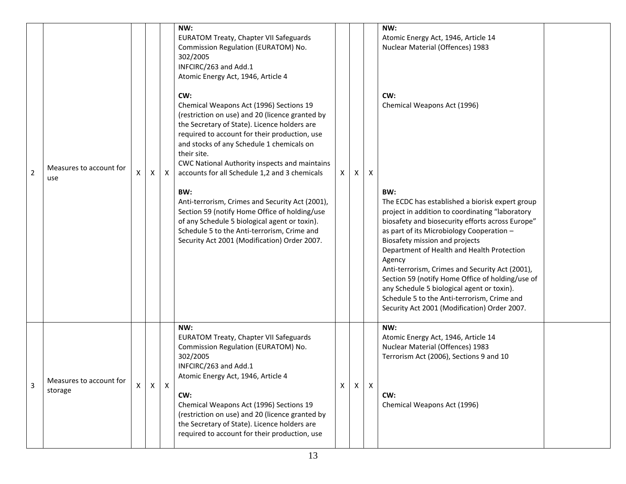|                |                                    |   |              |              | NW:<br><b>EURATOM Treaty, Chapter VII Safeguards</b><br>Commission Regulation (EURATOM) No.<br>302/2005<br>INFCIRC/263 and Add.1<br>Atomic Energy Act, 1946, Article 4                                                                                                                                                                                                                                                                                                                                                       |          |              | NW:<br>Atomic Energy Act, 1946, Article 14<br>Nuclear Material (Offences) 1983 |                                                                                                                                                                                                                                                                                                                                                                                         |  |
|----------------|------------------------------------|---|--------------|--------------|------------------------------------------------------------------------------------------------------------------------------------------------------------------------------------------------------------------------------------------------------------------------------------------------------------------------------------------------------------------------------------------------------------------------------------------------------------------------------------------------------------------------------|----------|--------------|--------------------------------------------------------------------------------|-----------------------------------------------------------------------------------------------------------------------------------------------------------------------------------------------------------------------------------------------------------------------------------------------------------------------------------------------------------------------------------------|--|
| $\overline{2}$ | Measures to account for<br>use     | X | X            | Χ            | CW:<br>Chemical Weapons Act (1996) Sections 19<br>(restriction on use) and 20 (licence granted by<br>the Secretary of State). Licence holders are<br>required to account for their production, use<br>and stocks of any Schedule 1 chemicals on<br>their site.<br>CWC National Authority inspects and maintains<br>accounts for all Schedule 1,2 and 3 chemicals<br>BW:<br>Anti-terrorism, Crimes and Security Act (2001),<br>Section 59 (notify Home Office of holding/use<br>of any Schedule 5 biological agent or toxin). | $\times$ | X            | $\mathsf{X}$                                                                   | CW:<br>Chemical Weapons Act (1996)<br>BW:<br>The ECDC has established a biorisk expert group<br>project in addition to coordinating "laboratory<br>biosafety and biosecurity efforts across Europe"                                                                                                                                                                                     |  |
|                |                                    |   |              |              | Schedule 5 to the Anti-terrorism, Crime and<br>Security Act 2001 (Modification) Order 2007.                                                                                                                                                                                                                                                                                                                                                                                                                                  |          |              |                                                                                | as part of its Microbiology Cooperation -<br>Biosafety mission and projects<br>Department of Health and Health Protection<br>Agency<br>Anti-terrorism, Crimes and Security Act (2001),<br>Section 59 (notify Home Office of holding/use of<br>any Schedule 5 biological agent or toxin).<br>Schedule 5 to the Anti-terrorism, Crime and<br>Security Act 2001 (Modification) Order 2007. |  |
| 3              | Measures to account for<br>storage | X | $\mathsf{X}$ | $\mathsf{X}$ | NW:<br><b>EURATOM Treaty, Chapter VII Safeguards</b><br>Commission Regulation (EURATOM) No.<br>302/2005<br>INFCIRC/263 and Add.1<br>Atomic Energy Act, 1946, Article 4<br>CW:<br>Chemical Weapons Act (1996) Sections 19<br>(restriction on use) and 20 (licence granted by<br>the Secretary of State). Licence holders are<br>required to account for their production, use                                                                                                                                                 | X        | $\mathsf{X}$ | $\mathsf{X}$                                                                   | NW:<br>Atomic Energy Act, 1946, Article 14<br>Nuclear Material (Offences) 1983<br>Terrorism Act (2006), Sections 9 and 10<br>CW:<br>Chemical Weapons Act (1996)                                                                                                                                                                                                                         |  |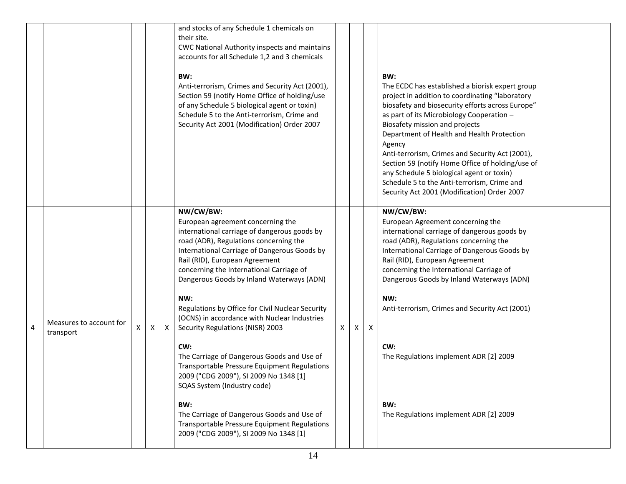|   |                         |   |   |              | and stocks of any Schedule 1 chemicals on<br>their site.<br>CWC National Authority inspects and maintains<br>accounts for all Schedule 1,2 and 3 chemicals<br>BW:<br>Anti-terrorism, Crimes and Security Act (2001),<br>Section 59 (notify Home Office of holding/use<br>of any Schedule 5 biological agent or toxin)<br>Schedule 5 to the Anti-terrorism, Crime and<br>Security Act 2001 (Modification) Order 2007                                                |   |    |   | BW:<br>The ECDC has established a biorisk expert group<br>project in addition to coordinating "laboratory<br>biosafety and biosecurity efforts across Europe"<br>as part of its Microbiology Cooperation -<br>Biosafety mission and projects<br>Department of Health and Health Protection<br>Agency<br>Anti-terrorism, Crimes and Security Act (2001),<br>Section 59 (notify Home Office of holding/use of<br>any Schedule 5 biological agent or toxin)<br>Schedule 5 to the Anti-terrorism, Crime and<br>Security Act 2001 (Modification) Order 2007 |  |
|---|-------------------------|---|---|--------------|--------------------------------------------------------------------------------------------------------------------------------------------------------------------------------------------------------------------------------------------------------------------------------------------------------------------------------------------------------------------------------------------------------------------------------------------------------------------|---|----|---|--------------------------------------------------------------------------------------------------------------------------------------------------------------------------------------------------------------------------------------------------------------------------------------------------------------------------------------------------------------------------------------------------------------------------------------------------------------------------------------------------------------------------------------------------------|--|
| 4 | Measures to account for | X | X | $\mathsf{X}$ | NW/CW/BW:<br>European agreement concerning the<br>international carriage of dangerous goods by<br>road (ADR), Regulations concerning the<br>International Carriage of Dangerous Goods by<br>Rail (RID), European Agreement<br>concerning the International Carriage of<br>Dangerous Goods by Inland Waterways (ADN)<br>NW:<br>Regulations by Office for Civil Nuclear Security<br>(OCNS) in accordance with Nuclear Industries<br>Security Regulations (NISR) 2003 | X | X. | X | NW/CW/BW:<br>European Agreement concerning the<br>international carriage of dangerous goods by<br>road (ADR), Regulations concerning the<br>International Carriage of Dangerous Goods by<br>Rail (RID), European Agreement<br>concerning the International Carriage of<br>Dangerous Goods by Inland Waterways (ADN)<br>NW:<br>Anti-terrorism, Crimes and Security Act (2001)                                                                                                                                                                           |  |
|   | transport               |   |   |              | CW:<br>The Carriage of Dangerous Goods and Use of<br><b>Transportable Pressure Equipment Regulations</b><br>2009 ("CDG 2009"), SI 2009 No 1348 [1]<br>SQAS System (Industry code)<br>BW:<br>The Carriage of Dangerous Goods and Use of<br>Transportable Pressure Equipment Regulations<br>2009 ("CDG 2009"), SI 2009 No 1348 [1]                                                                                                                                   |   |    |   | CW:<br>The Regulations implement ADR [2] 2009<br>BW:<br>The Regulations implement ADR [2] 2009                                                                                                                                                                                                                                                                                                                                                                                                                                                         |  |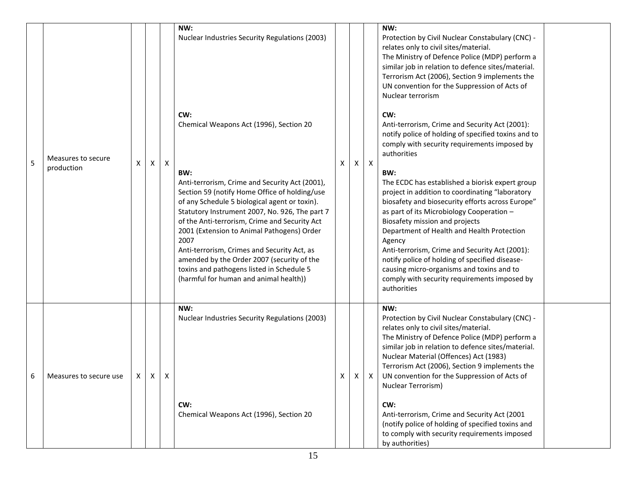| 5 | Measures to secure<br>production | Χ | X               | $\boldsymbol{\mathsf{X}}$ | NW:<br>Nuclear Industries Security Regulations (2003)<br>CW:<br>Chemical Weapons Act (1996), Section 20<br>BW:<br>Anti-terrorism, Crime and Security Act (2001),<br>Section 59 (notify Home Office of holding/use<br>of any Schedule 5 biological agent or toxin).<br>Statutory Instrument 2007, No. 926, The part 7<br>of the Anti-terrorism, Crime and Security Act<br>2001 (Extension to Animal Pathogens) Order<br>2007<br>Anti-terrorism, Crimes and Security Act, as<br>amended by the Order 2007 (security of the<br>toxins and pathogens listed in Schedule 5<br>(harmful for human and animal health)) | X  | X | $\boldsymbol{X}$ | NW:<br>Protection by Civil Nuclear Constabulary (CNC) -<br>relates only to civil sites/material.<br>The Ministry of Defence Police (MDP) perform a<br>similar job in relation to defence sites/material.<br>Terrorism Act (2006), Section 9 implements the<br>UN convention for the Suppression of Acts of<br>Nuclear terrorism<br>CW:<br>Anti-terrorism, Crime and Security Act (2001):<br>notify police of holding of specified toxins and to<br>comply with security requirements imposed by<br>authorities<br>BW:<br>The ECDC has established a biorisk expert group<br>project in addition to coordinating "laboratory<br>biosafety and biosecurity efforts across Europe"<br>as part of its Microbiology Cooperation -<br>Biosafety mission and projects<br>Department of Health and Health Protection<br>Agency<br>Anti-terrorism, Crime and Security Act (2001):<br>notify police of holding of specified disease-<br>causing micro-organisms and toxins and to<br>comply with security requirements imposed by<br>authorities |  |
|---|----------------------------------|---|-----------------|---------------------------|-----------------------------------------------------------------------------------------------------------------------------------------------------------------------------------------------------------------------------------------------------------------------------------------------------------------------------------------------------------------------------------------------------------------------------------------------------------------------------------------------------------------------------------------------------------------------------------------------------------------|----|---|------------------|----------------------------------------------------------------------------------------------------------------------------------------------------------------------------------------------------------------------------------------------------------------------------------------------------------------------------------------------------------------------------------------------------------------------------------------------------------------------------------------------------------------------------------------------------------------------------------------------------------------------------------------------------------------------------------------------------------------------------------------------------------------------------------------------------------------------------------------------------------------------------------------------------------------------------------------------------------------------------------------------------------------------------------------|--|
|   | Measures to secure use           |   | $X$   $X$   $X$ |                           | NW:<br>Nuclear Industries Security Regulations (2003)<br>CW:<br>Chemical Weapons Act (1996), Section 20                                                                                                                                                                                                                                                                                                                                                                                                                                                                                                         | X. |   |                  | NW:<br>Protection by Civil Nuclear Constabulary (CNC) -<br>relates only to civil sites/material.<br>The Ministry of Defence Police (MDP) perform a<br>similar job in relation to defence sites/material.<br>Nuclear Material (Offences) Act (1983)<br>Terrorism Act (2006), Section 9 implements the<br>UN convention for the Suppression of Acts of<br>Nuclear Terrorism)<br>CW:<br>Anti-terrorism, Crime and Security Act (2001<br>(notify police of holding of specified toxins and<br>to comply with security requirements imposed<br>by authorities)                                                                                                                                                                                                                                                                                                                                                                                                                                                                              |  |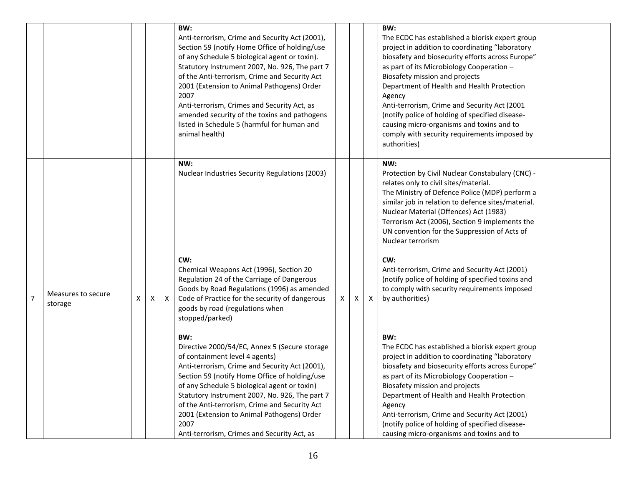|                |                               |   |   |   | BW:<br>Anti-terrorism, Crime and Security Act (2001),<br>Section 59 (notify Home Office of holding/use<br>of any Schedule 5 biological agent or toxin).<br>Statutory Instrument 2007, No. 926, The part 7<br>of the Anti-terrorism, Crime and Security Act<br>2001 (Extension to Animal Pathogens) Order<br>2007<br>Anti-terrorism, Crimes and Security Act, as<br>amended security of the toxins and pathogens<br>listed in Schedule 5 (harmful for human and<br>animal health)                                                                          |   |   |   | BW:<br>The ECDC has established a biorisk expert group<br>project in addition to coordinating "laboratory<br>biosafety and biosecurity efforts across Europe"<br>as part of its Microbiology Cooperation -<br>Biosafety mission and projects<br>Department of Health and Health Protection<br>Agency<br>Anti-terrorism, Crime and Security Act (2001<br>(notify police of holding of specified disease-<br>causing micro-organisms and toxins and to<br>comply with security requirements imposed by<br>authorities)                   |  |
|----------------|-------------------------------|---|---|---|-----------------------------------------------------------------------------------------------------------------------------------------------------------------------------------------------------------------------------------------------------------------------------------------------------------------------------------------------------------------------------------------------------------------------------------------------------------------------------------------------------------------------------------------------------------|---|---|---|----------------------------------------------------------------------------------------------------------------------------------------------------------------------------------------------------------------------------------------------------------------------------------------------------------------------------------------------------------------------------------------------------------------------------------------------------------------------------------------------------------------------------------------|--|
|                |                               |   |   |   | NW:<br>Nuclear Industries Security Regulations (2003)<br>CW:<br>Chemical Weapons Act (1996), Section 20<br>Regulation 24 of the Carriage of Dangerous<br>Goods by Road Regulations (1996) as amended                                                                                                                                                                                                                                                                                                                                                      |   |   |   | NW:<br>Protection by Civil Nuclear Constabulary (CNC) -<br>relates only to civil sites/material.<br>The Ministry of Defence Police (MDP) perform a<br>similar job in relation to defence sites/material.<br>Nuclear Material (Offences) Act (1983)<br>Terrorism Act (2006), Section 9 implements the<br>UN convention for the Suppression of Acts of<br>Nuclear terrorism<br>CW:<br>Anti-terrorism, Crime and Security Act (2001)<br>(notify police of holding of specified toxins and<br>to comply with security requirements imposed |  |
| $\overline{7}$ | Measures to secure<br>storage | X | X | X | Code of Practice for the security of dangerous<br>goods by road (regulations when<br>stopped/parked)<br>BW:<br>Directive 2000/54/EC, Annex 5 (Secure storage<br>of containment level 4 agents)<br>Anti-terrorism, Crime and Security Act (2001),<br>Section 59 (notify Home Office of holding/use<br>of any Schedule 5 biological agent or toxin)<br>Statutory Instrument 2007, No. 926, The part 7<br>of the Anti-terrorism, Crime and Security Act<br>2001 (Extension to Animal Pathogens) Order<br>2007<br>Anti-terrorism, Crimes and Security Act, as | X | X | X | by authorities)<br>BW:<br>The ECDC has established a biorisk expert group<br>project in addition to coordinating "laboratory<br>biosafety and biosecurity efforts across Europe"<br>as part of its Microbiology Cooperation -<br>Biosafety mission and projects<br>Department of Health and Health Protection<br>Agency<br>Anti-terrorism, Crime and Security Act (2001)<br>(notify police of holding of specified disease-<br>causing micro-organisms and toxins and to                                                               |  |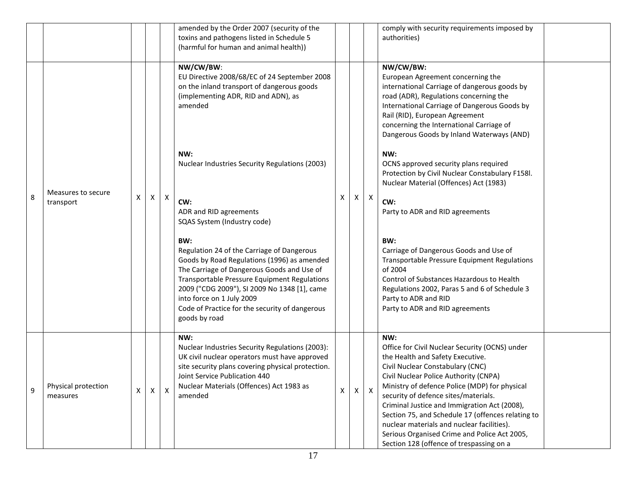|   |                                 |              |   |              | amended by the Order 2007 (security of the<br>toxins and pathogens listed in Schedule 5<br>(harmful for human and animal health))                                                                                                                                                                                                                     |          |          |              | comply with security requirements imposed by<br>authorities)                                                                                                                                                                                                                                                                                                                                                                                                                                                   |  |
|---|---------------------------------|--------------|---|--------------|-------------------------------------------------------------------------------------------------------------------------------------------------------------------------------------------------------------------------------------------------------------------------------------------------------------------------------------------------------|----------|----------|--------------|----------------------------------------------------------------------------------------------------------------------------------------------------------------------------------------------------------------------------------------------------------------------------------------------------------------------------------------------------------------------------------------------------------------------------------------------------------------------------------------------------------------|--|
|   |                                 |              |   |              | NW/CW/BW:<br>EU Directive 2008/68/EC of 24 September 2008<br>on the inland transport of dangerous goods<br>(implementing ADR, RID and ADN), as<br>amended                                                                                                                                                                                             |          |          |              | NW/CW/BW:<br>European Agreement concerning the<br>international Carriage of dangerous goods by<br>road (ADR), Regulations concerning the<br>International Carriage of Dangerous Goods by<br>Rail (RID), European Agreement<br>concerning the International Carriage of<br>Dangerous Goods by Inland Waterways (AND)                                                                                                                                                                                            |  |
|   | Measures to secure<br>transport |              |   |              | NW:<br>Nuclear Industries Security Regulations (2003)                                                                                                                                                                                                                                                                                                 | X        |          |              | NW:<br>OCNS approved security plans required<br>Protection by Civil Nuclear Constabulary F158l.<br>Nuclear Material (Offences) Act (1983)                                                                                                                                                                                                                                                                                                                                                                      |  |
| 8 |                                 | Χ            | X | X            | CW:<br>ADR and RID agreements<br>SQAS System (Industry code)                                                                                                                                                                                                                                                                                          |          | $\times$ | $\mathsf{X}$ | CW:<br>Party to ADR and RID agreements                                                                                                                                                                                                                                                                                                                                                                                                                                                                         |  |
|   |                                 |              |   |              | BW:<br>Regulation 24 of the Carriage of Dangerous<br>Goods by Road Regulations (1996) as amended<br>The Carriage of Dangerous Goods and Use of<br><b>Transportable Pressure Equipment Regulations</b><br>2009 ("CDG 2009"), SI 2009 No 1348 [1], came<br>into force on 1 July 2009<br>Code of Practice for the security of dangerous<br>goods by road |          |          |              | BW:<br>Carriage of Dangerous Goods and Use of<br><b>Transportable Pressure Equipment Regulations</b><br>of 2004<br>Control of Substances Hazardous to Health<br>Regulations 2002, Paras 5 and 6 of Schedule 3<br>Party to ADR and RID<br>Party to ADR and RID agreements                                                                                                                                                                                                                                       |  |
| 9 | Physical protection<br>measures | $\mathsf{X}$ | X | $\mathsf{x}$ | NW:<br>Nuclear Industries Security Regulations (2003):<br>UK civil nuclear operators must have approved<br>site security plans covering physical protection.<br>Joint Service Publication 440<br>Nuclear Materials (Offences) Act 1983 as<br>amended                                                                                                  | $\times$ | $\times$ | $\mathsf{X}$ | NW:<br>Office for Civil Nuclear Security (OCNS) under<br>the Health and Safety Executive.<br>Civil Nuclear Constabulary (CNC)<br>Civil Nuclear Police Authority (CNPA)<br>Ministry of defence Police (MDP) for physical<br>security of defence sites/materials.<br>Criminal Justice and Immigration Act (2008),<br>Section 75, and Schedule 17 (offences relating to<br>nuclear materials and nuclear facilities).<br>Serious Organised Crime and Police Act 2005,<br>Section 128 (offence of trespassing on a |  |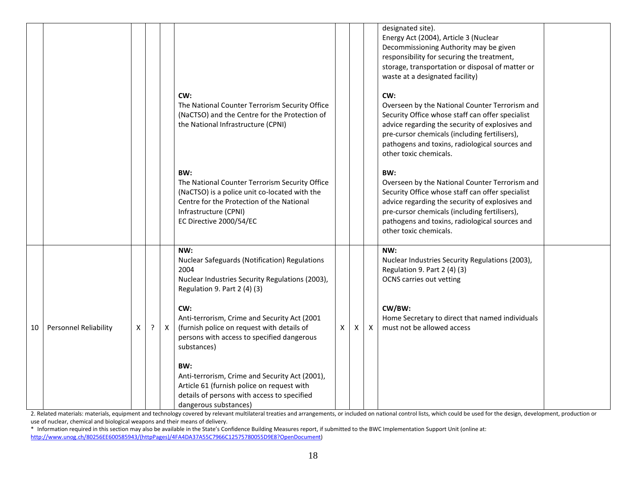|    |                              |   |         |              | CW:<br>The National Counter Terrorism Security Office<br>(NaCTSO) and the Centre for the Protection of<br>the National Infrastructure (CPNI)                                                            |              |   |              | designated site).<br>Energy Act (2004), Article 3 (Nuclear<br>Decommissioning Authority may be given<br>responsibility for securing the treatment,<br>storage, transportation or disposal of matter or<br>waste at a designated facility)<br>CW:<br>Overseen by the National Counter Terrorism and<br>Security Office whose staff can offer specialist<br>advice regarding the security of explosives and |  |
|----|------------------------------|---|---------|--------------|---------------------------------------------------------------------------------------------------------------------------------------------------------------------------------------------------------|--------------|---|--------------|-----------------------------------------------------------------------------------------------------------------------------------------------------------------------------------------------------------------------------------------------------------------------------------------------------------------------------------------------------------------------------------------------------------|--|
|    |                              |   |         |              |                                                                                                                                                                                                         |              |   |              | pre-cursor chemicals (including fertilisers),<br>pathogens and toxins, radiological sources and<br>other toxic chemicals.                                                                                                                                                                                                                                                                                 |  |
|    |                              |   |         |              | BW:<br>The National Counter Terrorism Security Office<br>(NaCTSO) is a police unit co-located with the<br>Centre for the Protection of the National<br>Infrastructure (CPNI)<br>EC Directive 2000/54/EC |              |   |              | BW:<br>Overseen by the National Counter Terrorism and<br>Security Office whose staff can offer specialist<br>advice regarding the security of explosives and<br>pre-cursor chemicals (including fertilisers),<br>pathogens and toxins, radiological sources and<br>other toxic chemicals.                                                                                                                 |  |
|    |                              |   |         |              | NW:<br>Nuclear Safeguards (Notification) Regulations<br>2004<br>Nuclear Industries Security Regulations (2003),<br>Regulation 9. Part 2 (4) (3)                                                         |              |   |              | NW:<br>Nuclear Industries Security Regulations (2003),<br>Regulation 9. Part 2 (4) (3)<br><b>OCNS</b> carries out vetting                                                                                                                                                                                                                                                                                 |  |
| 10 | <b>Personnel Reliability</b> | X | $\cdot$ | $\mathsf{X}$ | CW:<br>Anti-terrorism, Crime and Security Act (2001<br>(furnish police on request with details of<br>persons with access to specified dangerous<br>substances)                                          | $\mathsf{X}$ | X | $\mathsf{X}$ | CW/BW:<br>Home Secretary to direct that named individuals<br>must not be allowed access                                                                                                                                                                                                                                                                                                                   |  |
|    |                              |   |         |              | BW:<br>Anti-terrorism, Crime and Security Act (2001),<br>Article 61 (furnish police on request with<br>details of persons with access to specified<br>dangerous substances)                             |              |   |              |                                                                                                                                                                                                                                                                                                                                                                                                           |  |

2. Related materials: materials, equipment and technology covered by relevant multilateral treaties and arrangements, or included on national control lists, which could be used for the design, development, production or use of nuclear, chemical and biological weapons and their means of delivery.

\* Information required in this section may also be available in the State's Confidence Building Measures report, if submitted to the BWC Implementation Support Unit (online at: [http://www.unog.ch/80256EE600585943/\(httpPages\)/4FA4DA37A55C7966C12575780055D9E8?OpenDocument\)](http://www.unog.ch/80256EE600585943/(httpPages)/4FA4DA37A55C7966C12575780055D9E8?OpenDocument)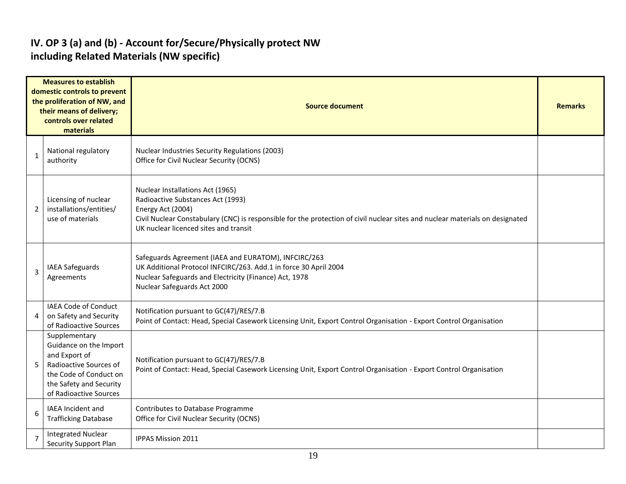#### **IV. OP 3 (a) and (b) - Account for/Secure/Physically protect NW including Related Materials (NW specific)**

|                | <b>Measures to establish</b><br>domestic controls to prevent<br>the proliferation of NW, and<br>their means of delivery;<br>controls over related<br>materials    | <b>Source document</b>                                                                                                                                                                                                                                               |  |  |  |  |  |  |
|----------------|-------------------------------------------------------------------------------------------------------------------------------------------------------------------|----------------------------------------------------------------------------------------------------------------------------------------------------------------------------------------------------------------------------------------------------------------------|--|--|--|--|--|--|
| 1              | National regulatory<br>authority                                                                                                                                  | Nuclear Industries Security Regulations (2003)<br>Office for Civil Nuclear Security (OCNS)                                                                                                                                                                           |  |  |  |  |  |  |
| $\overline{2}$ | Licensing of nuclear<br>installations/entities/<br>use of materials                                                                                               | Nuclear Installations Act (1965)<br>Radioactive Substances Act (1993)<br>Energy Act (2004)<br>Civil Nuclear Constabulary (CNC) is responsible for the protection of civil nuclear sites and nuclear materials on designated<br>UK nuclear licenced sites and transit |  |  |  |  |  |  |
| 3              | IAEA Safeguards<br>Agreements                                                                                                                                     | Safeguards Agreement (IAEA and EURATOM), INFCIRC/263<br>UK Additional Protocol INFCIRC/263. Add.1 in force 30 April 2004<br>Nuclear Safeguards and Electricity (Finance) Act, 1978<br>Nuclear Safeguards Act 2000                                                    |  |  |  |  |  |  |
| 4              | <b>IAEA Code of Conduct</b><br>on Safety and Security<br>of Radioactive Sources                                                                                   | Notification pursuant to GC(47)/RES/7.B<br>Point of Contact: Head, Special Casework Licensing Unit, Export Control Organisation - Export Control Organisation                                                                                                        |  |  |  |  |  |  |
| 5              | Supplementary<br>Guidance on the Import<br>and Export of<br>Radioactive Sources of<br>the Code of Conduct on<br>the Safety and Security<br>of Radioactive Sources | Notification pursuant to GC(47)/RES/7.B<br>Point of Contact: Head, Special Casework Licensing Unit, Export Control Organisation - Export Control Organisation                                                                                                        |  |  |  |  |  |  |
| 6              | <b>IAEA Incident and</b><br><b>Trafficking Database</b>                                                                                                           | Contributes to Database Programme<br>Office for Civil Nuclear Security (OCNS)                                                                                                                                                                                        |  |  |  |  |  |  |
| $\overline{7}$ | <b>Integrated Nuclear</b><br>Security Support Plan                                                                                                                | IPPAS Mission 2011                                                                                                                                                                                                                                                   |  |  |  |  |  |  |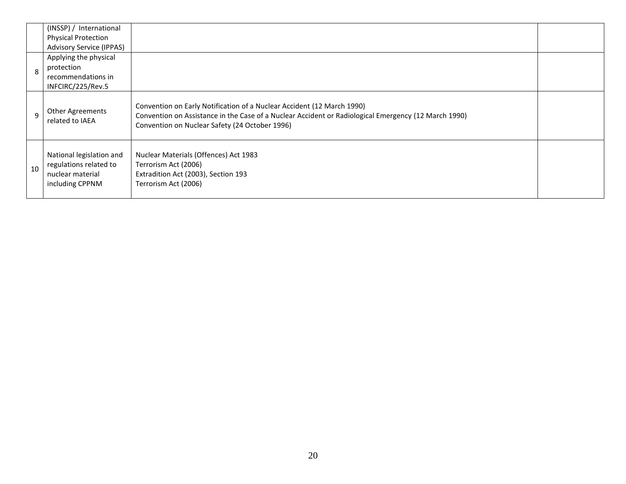|              | (INSSP) / International<br><b>Physical Protection</b>                                     |                                                                                                                                                                                                                                  |  |
|--------------|-------------------------------------------------------------------------------------------|----------------------------------------------------------------------------------------------------------------------------------------------------------------------------------------------------------------------------------|--|
|              | <b>Advisory Service (IPPAS)</b>                                                           |                                                                                                                                                                                                                                  |  |
|              | Applying the physical                                                                     |                                                                                                                                                                                                                                  |  |
| $\mathsf{R}$ | protection                                                                                |                                                                                                                                                                                                                                  |  |
|              | recommendations in                                                                        |                                                                                                                                                                                                                                  |  |
|              | INFCIRC/225/Rev.5                                                                         |                                                                                                                                                                                                                                  |  |
| q            | <b>Other Agreements</b><br>related to IAEA                                                | Convention on Early Notification of a Nuclear Accident (12 March 1990)<br>Convention on Assistance in the Case of a Nuclear Accident or Radiological Emergency (12 March 1990)<br>Convention on Nuclear Safety (24 October 1996) |  |
| 10           | National legislation and<br>regulations related to<br>nuclear material<br>including CPPNM | Nuclear Materials (Offences) Act 1983<br>Terrorism Act (2006)<br>Extradition Act (2003), Section 193<br>Terrorism Act (2006)                                                                                                     |  |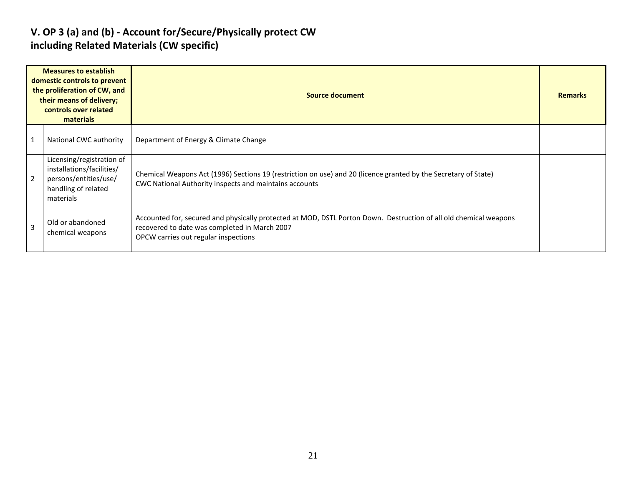#### **V. OP 3 (a) and (b) - Account for/Secure/Physically protect CW including Related Materials (CW specific)**

|   | <b>Measures to establish</b><br>domestic controls to prevent<br>the proliferation of CW, and<br>their means of delivery;<br>controls over related<br>materials | <b>Source document</b>                                                                                                                                                                                     | <b>Remarks</b> |
|---|----------------------------------------------------------------------------------------------------------------------------------------------------------------|------------------------------------------------------------------------------------------------------------------------------------------------------------------------------------------------------------|----------------|
|   | National CWC authority                                                                                                                                         | Department of Energy & Climate Change                                                                                                                                                                      |                |
|   | Licensing/registration of<br>installations/facilities/<br>persons/entities/use/<br>handling of related<br>materials                                            | Chemical Weapons Act (1996) Sections 19 (restriction on use) and 20 (licence granted by the Secretary of State)<br>CWC National Authority inspects and maintains accounts                                  |                |
| 3 | Old or abandoned<br>chemical weapons                                                                                                                           | Accounted for, secured and physically protected at MOD, DSTL Porton Down. Destruction of all old chemical weapons<br>recovered to date was completed in March 2007<br>OPCW carries out regular inspections |                |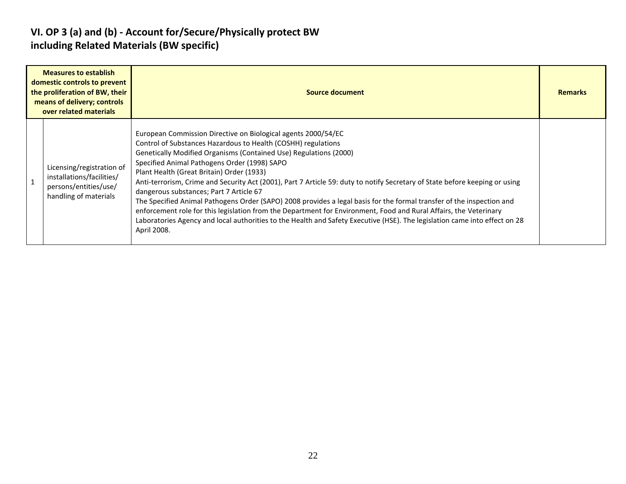#### **VI. OP 3 (a) and (b) - Account for/Secure/Physically protect BW including Related Materials (BW specific)**

| <b>Measures to establish</b><br>domestic controls to prevent<br>the proliferation of BW, their<br>means of delivery; controls<br>over related materials | Source document                                                                                                                                                                                                                                                                                                                                                                                                                                                                                                                                                                                                                                                                                                                                                                                                                                                       | <b>Remarks</b> |
|---------------------------------------------------------------------------------------------------------------------------------------------------------|-----------------------------------------------------------------------------------------------------------------------------------------------------------------------------------------------------------------------------------------------------------------------------------------------------------------------------------------------------------------------------------------------------------------------------------------------------------------------------------------------------------------------------------------------------------------------------------------------------------------------------------------------------------------------------------------------------------------------------------------------------------------------------------------------------------------------------------------------------------------------|----------------|
| Licensing/registration of<br>installations/facilities/<br>persons/entities/use/<br>handling of materials                                                | European Commission Directive on Biological agents 2000/54/EC<br>Control of Substances Hazardous to Health (COSHH) regulations<br>Genetically Modified Organisms (Contained Use) Regulations (2000)<br>Specified Animal Pathogens Order (1998) SAPO<br>Plant Health (Great Britain) Order (1933)<br>Anti-terrorism, Crime and Security Act (2001), Part 7 Article 59: duty to notify Secretary of State before keeping or using<br>dangerous substances; Part 7 Article 67<br>The Specified Animal Pathogens Order (SAPO) 2008 provides a legal basis for the formal transfer of the inspection and<br>enforcement role for this legislation from the Department for Environment, Food and Rural Affairs, the Veterinary<br>Laboratories Agency and local authorities to the Health and Safety Executive (HSE). The legislation came into effect on 28<br>April 2008. |                |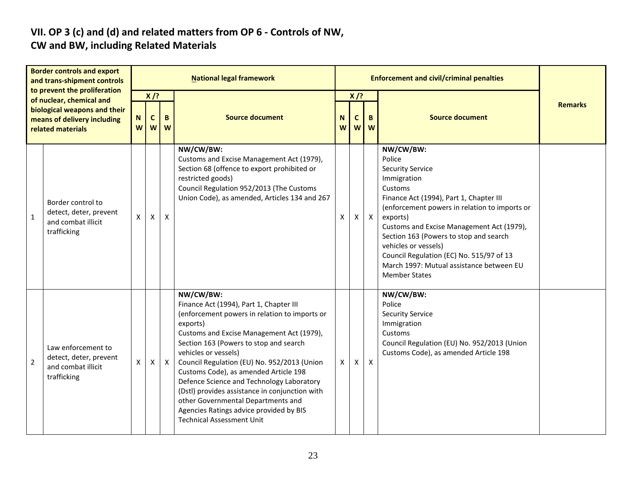# **VII. OP 3 (c) and (d) and related matters from OP 6 - Controls of NW,**

### **CW and BW, including Related Materials**

| <b>Border controls and export</b><br>and trans-shipment controls<br>to prevent the proliferation |                                                                                                              | <b>National legal framework</b> |                                              |              |                                                                                                                                                                                                                                                                                                                                                                                                                                                                                                                                              |                     |                                   | <b>Enforcement and civil/criminal penalties</b> |                                                                                                                                                                                                                                                                                                                                                                                                                 |                |
|--------------------------------------------------------------------------------------------------|--------------------------------------------------------------------------------------------------------------|---------------------------------|----------------------------------------------|--------------|----------------------------------------------------------------------------------------------------------------------------------------------------------------------------------------------------------------------------------------------------------------------------------------------------------------------------------------------------------------------------------------------------------------------------------------------------------------------------------------------------------------------------------------------|---------------------|-----------------------------------|-------------------------------------------------|-----------------------------------------------------------------------------------------------------------------------------------------------------------------------------------------------------------------------------------------------------------------------------------------------------------------------------------------------------------------------------------------------------------------|----------------|
|                                                                                                  | of nuclear, chemical and<br>biological weapons and their<br>means of delivery including<br>related materials | N<br>W                          | $X$ /?<br>$\mathbf{C}$<br>B<br><b>W</b><br>W |              | <b>Source document</b>                                                                                                                                                                                                                                                                                                                                                                                                                                                                                                                       | N<br>W <sub>l</sub> | $X$ /?<br>$\mathbf c$<br><b>W</b> | B.<br>W                                         | <b>Source document</b>                                                                                                                                                                                                                                                                                                                                                                                          | <b>Remarks</b> |
| $\mathbf{1}$                                                                                     | Border control to<br>detect, deter, prevent<br>and combat illicit<br>trafficking                             | $\mathsf{X}^-$                  | $\mathsf{X}$                                 | X            | NW/CW/BW:<br>Customs and Excise Management Act (1979),<br>Section 68 (offence to export prohibited or<br>restricted goods)<br>Council Regulation 952/2013 (The Customs<br>Union Code), as amended, Articles 134 and 267                                                                                                                                                                                                                                                                                                                      | Χ                   | X                                 | $\mathsf{X}$                                    | NW/CW/BW:<br>Police<br><b>Security Service</b><br>Immigration<br>Customs<br>Finance Act (1994), Part 1, Chapter III<br>(enforcement powers in relation to imports or<br>exports)<br>Customs and Excise Management Act (1979),<br>Section 163 (Powers to stop and search<br>vehicles or vessels)<br>Council Regulation (EC) No. 515/97 of 13<br>March 1997: Mutual assistance between EU<br><b>Member States</b> |                |
| $\overline{2}$                                                                                   | Law enforcement to<br>detect, deter, prevent<br>and combat illicit<br>trafficking                            | X                               | X                                            | $\mathsf{X}$ | NW/CW/BW:<br>Finance Act (1994), Part 1, Chapter III<br>(enforcement powers in relation to imports or<br>exports)<br>Customs and Excise Management Act (1979),<br>Section 163 (Powers to stop and search<br>vehicles or vessels)<br>Council Regulation (EU) No. 952/2013 (Union<br>Customs Code), as amended Article 198<br>Defence Science and Technology Laboratory<br>(Dstl) provides assistance in conjunction with<br>other Governmental Departments and<br>Agencies Ratings advice provided by BIS<br><b>Technical Assessment Unit</b> | X                   | X                                 | $\mathsf{X}$                                    | NW/CW/BW:<br>Police<br><b>Security Service</b><br>Immigration<br>Customs<br>Council Regulation (EU) No. 952/2013 (Union<br>Customs Code), as amended Article 198                                                                                                                                                                                                                                                |                |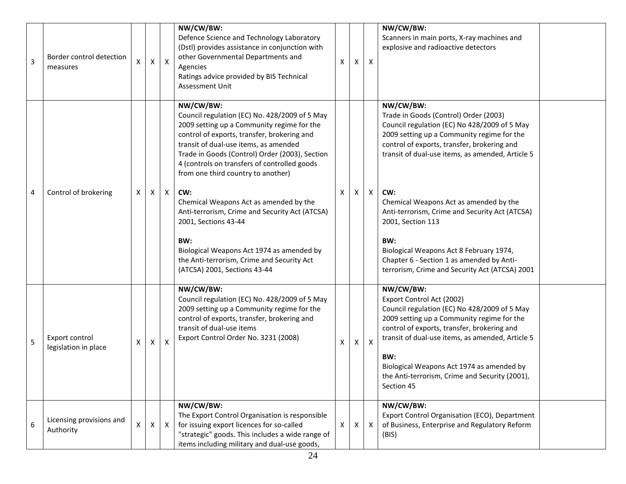| 3 | Border control detection<br>measures   |   | X   | X            | NW/CW/BW:<br>Defence Science and Technology Laboratory<br>(Dstl) provides assistance in conjunction with<br>other Governmental Departments and<br>Agencies<br>Ratings advice provided by BIS Technical<br><b>Assessment Unit</b>                                                                                                         | X | X | X                         | NW/CW/BW:<br>Scanners in main ports, X-ray machines and<br>explosive and radioactive detectors                                                                                                                                                      |  |
|---|----------------------------------------|---|-----|--------------|------------------------------------------------------------------------------------------------------------------------------------------------------------------------------------------------------------------------------------------------------------------------------------------------------------------------------------------|---|---|---------------------------|-----------------------------------------------------------------------------------------------------------------------------------------------------------------------------------------------------------------------------------------------------|--|
|   |                                        |   |     |              | NW/CW/BW:<br>Council regulation (EC) No. 428/2009 of 5 May<br>2009 setting up a Community regime for the<br>control of exports, transfer, brokering and<br>transit of dual-use items, as amended<br>Trade in Goods (Control) Order (2003), Section<br>4 (controls on transfers of controlled goods<br>from one third country to another) |   |   |                           | NW/CW/BW:<br>Trade in Goods (Control) Order (2003)<br>Council regulation (EC) No 428/2009 of 5 May<br>2009 setting up a Community regime for the<br>control of exports, transfer, brokering and<br>transit of dual-use items, as amended, Article 5 |  |
| 4 | Control of brokering                   | X | Χ   | X            | CW:<br>Chemical Weapons Act as amended by the<br>Anti-terrorism, Crime and Security Act (ATCSA)<br>2001, Sections 43-44                                                                                                                                                                                                                  | X | X | Χ                         | CW:<br>Chemical Weapons Act as amended by the<br>Anti-terrorism, Crime and Security Act (ATCSA)<br>2001, Section 113                                                                                                                                |  |
|   |                                        |   |     |              | BW:<br>Biological Weapons Act 1974 as amended by<br>the Anti-terrorism, Crime and Security Act<br>(ATCSA) 2001, Sections 43-44                                                                                                                                                                                                           |   |   |                           | BW:<br>Biological Weapons Act 8 February 1974,<br>Chapter 6 - Section 1 as amended by Anti-<br>terrorism, Crime and Security Act (ATCSA) 2001                                                                                                       |  |
| 5 | Export control<br>legislation in place | X | X   | X            | NW/CW/BW:<br>Council regulation (EC) No. 428/2009 of 5 May<br>2009 setting up a Community regime for the<br>control of exports, transfer, brokering and<br>transit of dual-use items<br>Export Control Order No. 3231 (2008)                                                                                                             | X | X | $\boldsymbol{\mathsf{X}}$ | NW/CW/BW:<br>Export Control Act (2002)<br>Council regulation (EC) No 428/2009 of 5 May<br>2009 setting up a Community regime for the<br>control of exports, transfer, brokering and<br>transit of dual-use items, as amended, Article 5             |  |
|   |                                        |   |     |              |                                                                                                                                                                                                                                                                                                                                          |   |   |                           | BW:<br>Biological Weapons Act 1974 as amended by<br>the Anti-terrorism, Crime and Security (2001),<br>Section 45                                                                                                                                    |  |
| 6 | Licensing provisions and<br>Authority  | X | X I | $\mathsf{X}$ | NW/CW/BW:<br>The Export Control Organisation is responsible<br>for issuing export licences for so-called<br>"strategic" goods. This includes a wide range of<br>items including military and dual-use goods,                                                                                                                             | X | X | $\mathsf{X}$              | NW/CW/BW:<br>Export Control Organisation (ECO), Department<br>of Business, Enterprise and Regulatory Reform<br>(BIS)                                                                                                                                |  |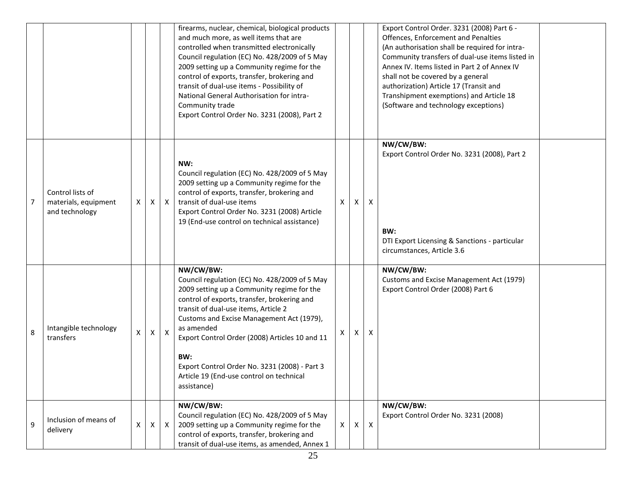|   |                                                            |    |   |              | firearms, nuclear, chemical, biological products<br>and much more, as well items that are<br>controlled when transmitted electronically<br>Council regulation (EC) No. 428/2009 of 5 May<br>2009 setting up a Community regime for the<br>control of exports, transfer, brokering and<br>transit of dual-use items - Possibility of<br>National General Authorisation for intra-<br>Community trade<br>Export Control Order No. 3231 (2008), Part 2 |   |                           |                           | Export Control Order. 3231 (2008) Part 6 -<br>Offences, Enforcement and Penalties<br>(An authorisation shall be required for intra-<br>Community transfers of dual-use items listed in<br>Annex IV. Items listed in Part 2 of Annex IV<br>shall not be covered by a general<br>authorization) Article 17 (Transit and<br>Transhipment exemptions) and Article 18<br>(Software and technology exceptions) |  |
|---|------------------------------------------------------------|----|---|--------------|-----------------------------------------------------------------------------------------------------------------------------------------------------------------------------------------------------------------------------------------------------------------------------------------------------------------------------------------------------------------------------------------------------------------------------------------------------|---|---------------------------|---------------------------|----------------------------------------------------------------------------------------------------------------------------------------------------------------------------------------------------------------------------------------------------------------------------------------------------------------------------------------------------------------------------------------------------------|--|
| 7 | Control lists of<br>materials, equipment<br>and technology | X. | X | $\mathsf{X}$ | NW:<br>Council regulation (EC) No. 428/2009 of 5 May<br>2009 setting up a Community regime for the<br>control of exports, transfer, brokering and<br>transit of dual-use items<br>Export Control Order No. 3231 (2008) Article<br>19 (End-use control on technical assistance)                                                                                                                                                                      | X | X                         | $\boldsymbol{\mathsf{X}}$ | NW/CW/BW:<br>Export Control Order No. 3231 (2008), Part 2<br>BW:<br>DTI Export Licensing & Sanctions - particular<br>circumstances, Article 3.6                                                                                                                                                                                                                                                          |  |
| 8 | Intangible technology<br>transfers                         | X. | X | $\mathsf{x}$ | NW/CW/BW:<br>Council regulation (EC) No. 428/2009 of 5 May<br>2009 setting up a Community regime for the<br>control of exports, transfer, brokering and<br>transit of dual-use items, Article 2<br>Customs and Excise Management Act (1979),<br>as amended<br>Export Control Order (2008) Articles 10 and 11<br>BW:<br>Export Control Order No. 3231 (2008) - Part 3<br>Article 19 (End-use control on technical<br>assistance)                     |   | X                         | X                         | NW/CW/BW:<br>Customs and Excise Management Act (1979)<br>Export Control Order (2008) Part 6                                                                                                                                                                                                                                                                                                              |  |
| 9 | Inclusion of means of<br>delivery                          | X  | X | $\mathsf{X}$ | NW/CW/BW:<br>Council regulation (EC) No. 428/2009 of 5 May<br>2009 setting up a Community regime for the<br>control of exports, transfer, brokering and<br>transit of dual-use items, as amended, Annex 1                                                                                                                                                                                                                                           | X | $\boldsymbol{\mathsf{X}}$ | $\boldsymbol{X}$          | NW/CW/BW:<br>Export Control Order No. 3231 (2008)                                                                                                                                                                                                                                                                                                                                                        |  |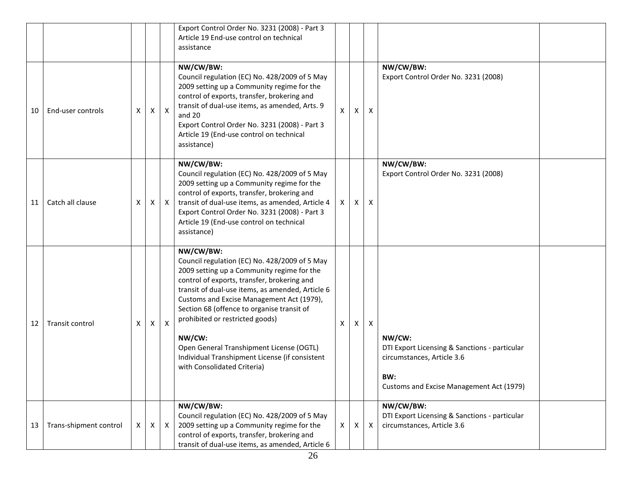|    |                        |   |              |              | Export Control Order No. 3231 (2008) - Part 3<br>Article 19 End-use control on technical<br>assistance                                                                                                                                                                                                                                                                                                                                                                           |              |   |                           |                                                                                                                                          |  |
|----|------------------------|---|--------------|--------------|----------------------------------------------------------------------------------------------------------------------------------------------------------------------------------------------------------------------------------------------------------------------------------------------------------------------------------------------------------------------------------------------------------------------------------------------------------------------------------|--------------|---|---------------------------|------------------------------------------------------------------------------------------------------------------------------------------|--|
| 10 | End-user controls      | X | Χ            | $\mathsf{X}$ | NW/CW/BW:<br>Council regulation (EC) No. 428/2009 of 5 May<br>2009 setting up a Community regime for the<br>control of exports, transfer, brokering and<br>transit of dual-use items, as amended, Arts. 9<br>and 20<br>Export Control Order No. 3231 (2008) - Part 3<br>Article 19 (End-use control on technical<br>assistance)                                                                                                                                                  | $\mathsf{x}$ | X | X                         | NW/CW/BW:<br>Export Control Order No. 3231 (2008)                                                                                        |  |
| 11 | Catch all clause       | X | X            | $\mathsf{X}$ | NW/CW/BW:<br>Council regulation (EC) No. 428/2009 of 5 May<br>2009 setting up a Community regime for the<br>control of exports, transfer, brokering and<br>transit of dual-use items, as amended, Article 4<br>Export Control Order No. 3231 (2008) - Part 3<br>Article 19 (End-use control on technical<br>assistance)                                                                                                                                                          | X            | Χ | X                         | NW/CW/BW:<br>Export Control Order No. 3231 (2008)                                                                                        |  |
| 12 | Transit control        | X | X            | $\mathsf{X}$ | NW/CW/BW:<br>Council regulation (EC) No. 428/2009 of 5 May<br>2009 setting up a Community regime for the<br>control of exports, transfer, brokering and<br>transit of dual-use items, as amended, Article 6<br>Customs and Excise Management Act (1979),<br>Section 68 (offence to organise transit of<br>prohibited or restricted goods)<br>NW/CW:<br>Open General Transhipment License (OGTL)<br>Individual Transhipment License (if consistent<br>with Consolidated Criteria) | X            | X | $\boldsymbol{\mathsf{X}}$ | NW/CW:<br>DTI Export Licensing & Sanctions - particular<br>circumstances, Article 3.6<br>BW:<br>Customs and Excise Management Act (1979) |  |
| 13 | Trans-shipment control | X | $\mathsf{X}$ | $\mathsf{X}$ | NW/CW/BW:<br>Council regulation (EC) No. 428/2009 of 5 May<br>2009 setting up a Community regime for the<br>control of exports, transfer, brokering and<br>transit of dual-use items, as amended, Article 6                                                                                                                                                                                                                                                                      | X            | Χ | $\boldsymbol{\mathsf{X}}$ | NW/CW/BW:<br>DTI Export Licensing & Sanctions - particular<br>circumstances, Article 3.6                                                 |  |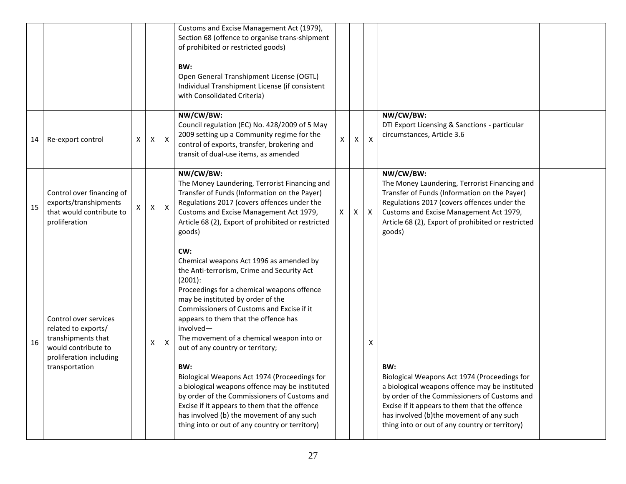|    |                                                                                                                                        |   |   |                           | Customs and Excise Management Act (1979),<br>Section 68 (offence to organise trans-shipment<br>of prohibited or restricted goods)<br>BW:<br>Open General Transhipment License (OGTL)<br>Individual Transhipment License (if consistent<br>with Consolidated Criteria)                                                                                                                                                                                                                                                                                                                                                                                                                     |   |   |                           |                                                                                                                                                                                                                                                                                                      |  |
|----|----------------------------------------------------------------------------------------------------------------------------------------|---|---|---------------------------|-------------------------------------------------------------------------------------------------------------------------------------------------------------------------------------------------------------------------------------------------------------------------------------------------------------------------------------------------------------------------------------------------------------------------------------------------------------------------------------------------------------------------------------------------------------------------------------------------------------------------------------------------------------------------------------------|---|---|---------------------------|------------------------------------------------------------------------------------------------------------------------------------------------------------------------------------------------------------------------------------------------------------------------------------------------------|--|
| 14 | Re-export control                                                                                                                      | X | X | $\boldsymbol{\mathsf{X}}$ | NW/CW/BW:<br>Council regulation (EC) No. 428/2009 of 5 May<br>2009 setting up a Community regime for the<br>control of exports, transfer, brokering and<br>transit of dual-use items, as amended                                                                                                                                                                                                                                                                                                                                                                                                                                                                                          | X | X | $\boldsymbol{\mathsf{X}}$ | NW/CW/BW:<br>DTI Export Licensing & Sanctions - particular<br>circumstances, Article 3.6                                                                                                                                                                                                             |  |
| 15 | Control over financing of<br>exports/transhipments<br>that would contribute to<br>proliferation                                        |   | X | $\boldsymbol{\mathsf{X}}$ | NW/CW/BW:<br>The Money Laundering, Terrorist Financing and<br>Transfer of Funds (Information on the Payer)<br>Regulations 2017 (covers offences under the<br>Customs and Excise Management Act 1979,<br>Article 68 (2), Export of prohibited or restricted<br>goods)                                                                                                                                                                                                                                                                                                                                                                                                                      | X | X | $\mathsf{X}$              | NW/CW/BW:<br>The Money Laundering, Terrorist Financing and<br>Transfer of Funds (Information on the Payer)<br>Regulations 2017 (covers offences under the<br>Customs and Excise Management Act 1979,<br>Article 68 (2), Export of prohibited or restricted<br>goods)                                 |  |
| 16 | Control over services<br>related to exports/<br>transhipments that<br>would contribute to<br>proliferation including<br>transportation |   | Χ | X                         | CW:<br>Chemical weapons Act 1996 as amended by<br>the Anti-terrorism, Crime and Security Act<br>$(2001)$ :<br>Proceedings for a chemical weapons offence<br>may be instituted by order of the<br>Commissioners of Customs and Excise if it<br>appears to them that the offence has<br>involved-<br>The movement of a chemical weapon into or<br>out of any country or territory;<br>BW:<br>Biological Weapons Act 1974 (Proceedings for<br>a biological weapons offence may be instituted<br>by order of the Commissioners of Customs and<br>Excise if it appears to them that the offence<br>has involved (b) the movement of any such<br>thing into or out of any country or territory) |   |   | х                         | BW:<br>Biological Weapons Act 1974 (Proceedings for<br>a biological weapons offence may be instituted<br>by order of the Commissioners of Customs and<br>Excise if it appears to them that the offence<br>has involved (b)the movement of any such<br>thing into or out of any country or territory) |  |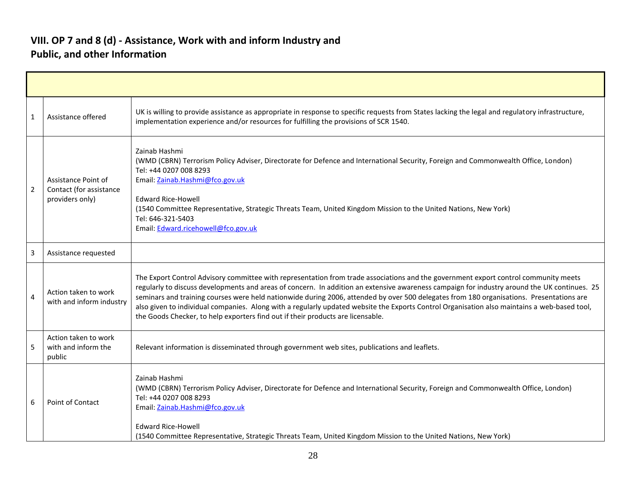#### **VIII. OP 7 and 8 (d) - Assistance, Work with and inform Industry and Public, and other Information**

| $\mathbf{1}$   | Assistance offered                                                | UK is willing to provide assistance as appropriate in response to specific requests from States lacking the legal and regulatory infrastructure,<br>implementation experience and/or resources for fulfilling the provisions of SCR 1540.                                                                                                                                                                                                                                                                                                                                                                                                                          |
|----------------|-------------------------------------------------------------------|--------------------------------------------------------------------------------------------------------------------------------------------------------------------------------------------------------------------------------------------------------------------------------------------------------------------------------------------------------------------------------------------------------------------------------------------------------------------------------------------------------------------------------------------------------------------------------------------------------------------------------------------------------------------|
| $\overline{2}$ | Assistance Point of<br>Contact (for assistance<br>providers only) | Zainab Hashmi<br>(WMD (CBRN) Terrorism Policy Adviser, Directorate for Defence and International Security, Foreign and Commonwealth Office, London)<br>Tel: +44 0207 008 8293<br>Email: Zainab.Hashmi@fco.gov.uk<br><b>Edward Rice-Howell</b><br>(1540 Committee Representative, Strategic Threats Team, United Kingdom Mission to the United Nations, New York)<br>Tel: 646-321-5403<br>Email: Edward.ricehowell@fco.gov.uk                                                                                                                                                                                                                                       |
| 3              | Assistance requested                                              |                                                                                                                                                                                                                                                                                                                                                                                                                                                                                                                                                                                                                                                                    |
| 4              | Action taken to work<br>with and inform industry                  | The Export Control Advisory committee with representation from trade associations and the government export control community meets<br>regularly to discuss developments and areas of concern. In addition an extensive awareness campaign for industry around the UK continues. 25<br>seminars and training courses were held nationwide during 2006, attended by over 500 delegates from 180 organisations. Presentations are<br>also given to individual companies. Along with a regularly updated website the Exports Control Organisation also maintains a web-based tool,<br>the Goods Checker, to help exporters find out if their products are licensable. |
| 5              | Action taken to work<br>with and inform the<br>public             | Relevant information is disseminated through government web sites, publications and leaflets.                                                                                                                                                                                                                                                                                                                                                                                                                                                                                                                                                                      |
| 6              | Point of Contact                                                  | Zainab Hashmi<br>(WMD (CBRN) Terrorism Policy Adviser, Directorate for Defence and International Security, Foreign and Commonwealth Office, London)<br>Tel: +44 0207 008 8293<br>Email: Zainab.Hashmi@fco.gov.uk<br><b>Edward Rice-Howell</b><br>(1540 Committee Representative, Strategic Threats Team, United Kingdom Mission to the United Nations, New York)                                                                                                                                                                                                                                                                                                   |